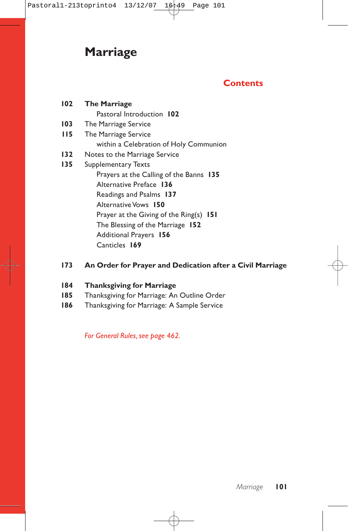# **Marriage**

# **Contents**

| 102 | <b>The Marriage</b>                         |
|-----|---------------------------------------------|
|     | Pastoral Introduction 102                   |
| 103 | The Marriage Service                        |
| 115 | The Marriage Service                        |
|     | within a Celebration of Holy Communion      |
| 132 | Notes to the Marriage Service               |
| 135 | <b>Supplementary Texts</b>                  |
|     | Prayers at the Calling of the Banns 135     |
|     | Alternative Preface 136                     |
|     | Readings and Psalms 137                     |
|     | Alternative Vows 150                        |
|     | Prayer at the Giving of the Ring(s)<br>-151 |
|     | The Blessing of the Marriage 152            |
|     | <b>Additional Prayers 156</b>               |
|     | Canticles 169                               |

### **173 An Order for Prayer and Dedication after a Civil Marriage**

## **184 Thanksgiving for Marriage**

- **185** Thanksgiving for Marriage: An Outline Order
- **186** Thanksgiving for Marriage: A Sample Service

*For General Rules, see page 462.*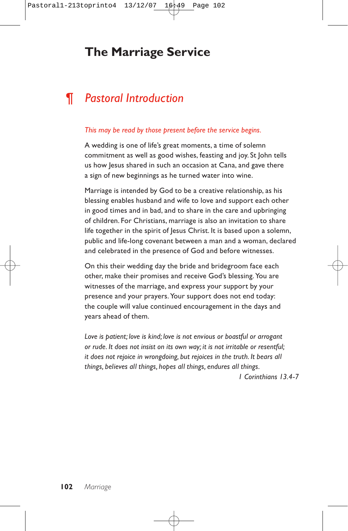# **The Marriage Service**

# *¶ Pastoral Introduction*

#### *This may be read by those present before the service begins.*

A wedding is one of life's great moments, a time of solemn commitment as well as good wishes, feasting and joy. St John tells us how Jesus shared in such an occasion at Cana, and gave there a sign of new beginnings as he turned water into wine.

Marriage is intended by God to be a creative relationship, as his blessing enables husband and wife to love and support each other in good times and in bad, and to share in the care and upbringing of children. For Christians, marriage is also an invitation to share life together in the spirit of Jesus Christ. It is based upon a solemn, public and life-long covenant between a man and a woman, declared and celebrated in the presence of God and before witnesses.

On this their wedding day the bride and bridegroom face each other, make their promises and receive God's blessing. You are witnesses of the marriage, and express your support by your presence and your prayers. Your support does not end today: the couple will value continued encouragement in the days and years ahead of them.

*Love is patient; love is kind; love is not envious or boastful or arrogant or rude. It does not insist on its own way; it is not irritable or resentful; it does not rejoice in wrongdoing, but rejoices in the truth. It bears all things, believes all things, hopes all things, endures all things.*

*1 Corinthians 13.4-7*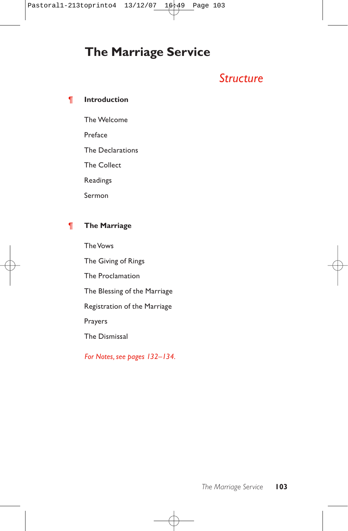# **The Marriage Service**

# *Structure*

#### ¶ **Introduction**

The Welcome

Preface

The Declarations

The Collect

Readings

Sermon

#### ¶ **The Marriage**

The Vows

The Giving of Rings

The Proclamation

The Blessing of the Marriage

Registration of the Marriage

Prayers

The Dismissal

*For Notes, see pages 132–134.*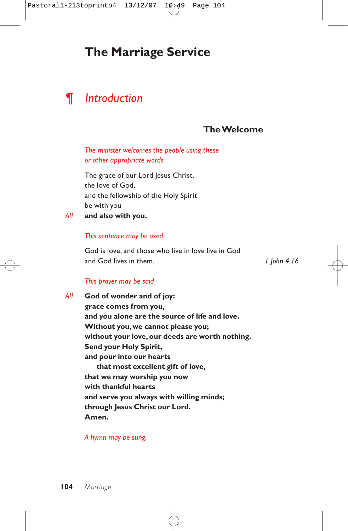# **The Marriage Service**

# *¶ Introduction*

## **The Welcome**

### *The minister welcomes the people using these or other appropriate words*

The grace of our Lord Jesus Christ, the love of God, and the fellowship of the Holy Spirit be with you

*All* **and also with you.**

#### *This sentence may be used*

God is love, and those who live in love live in God and God lives in them. **1** *John 4.16* 

#### *This prayer may be said*

*All* **God of wonder and of joy: grace comes from you, and you alone are the source of life and love. Without you, we cannot please you; without your love, our deeds are worth nothing. Send your Holy Spirit, and pour into our hearts that most excellent gift of love, that we may worship you now with thankful hearts and serve you always with willing minds; through Jesus Christ our Lord. Amen.**

#### *A hymn may be sung.*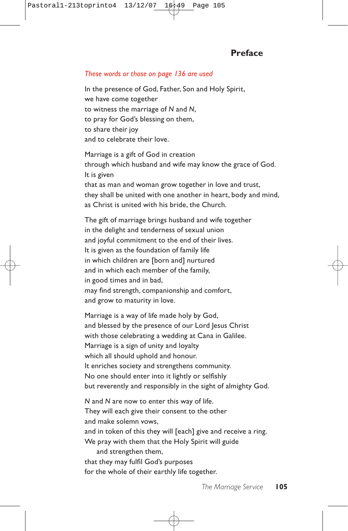#### *These words or those on page 136 are used*

In the presence of God, Father, Son and Holy Spirit, we have come together to witness the marriage of *N* and *N*, to pray for God's blessing on them, to share their joy and to celebrate their love.

Marriage is a gift of God in creation through which husband and wife may know the grace of God. It is given that as man and woman grow together in love and trust, they shall be united with one another in heart, body and mind, as Christ is united with his bride, the Church.

The gift of marriage brings husband and wife together in the delight and tenderness of sexual union and joyful commitment to the end of their lives. It is given as the foundation of family life in which children are [born and] nurtured and in which each member of the family, in good times and in bad, may find strength, companionship and comfort, and grow to maturity in love.

Marriage is a way of life made holy by God, and blessed by the presence of our Lord Jesus Christ with those celebrating a wedding at Cana in Galilee. Marriage is a sign of unity and loyalty which all should uphold and honour. It enriches society and strengthens community. No one should enter into it lightly or selfishly but reverently and responsibly in the sight of almighty God.

*N* and *N* are now to enter this way of life. They will each give their consent to the other and make solemn vows, and in token of this they will [each] give and receive a ring. We pray with them that the Holy Spirit will guide and strengthen them, that they may fulfil God's purposes for the whole of their earthly life together.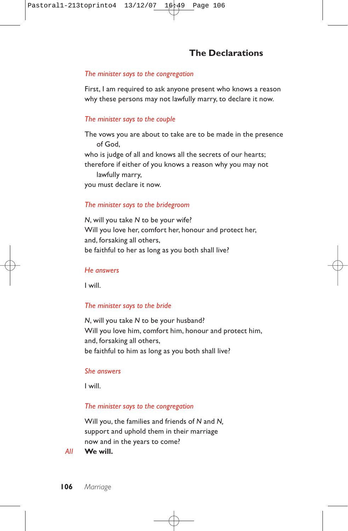#### *The minister says to the congregation*

First, I am required to ask anyone present who knows a reason why these persons may not lawfully marry, to declare it now.

#### *The minister says to the couple*

The vows you are about to take are to be made in the presence of God, who is judge of all and knows all the secrets of our hearts; therefore if either of you knows a reason why you may not lawfully marry, you must declare it now.

#### *The minister says to the bridegroom*

*N*, will you take *N* to be your wife? Will you love her, comfort her, honour and protect her, and, forsaking all others, be faithful to her as long as you both shall live?

#### *He answers*

I will.

#### *The minister says to the bride*

*N*, will you take *N* to be your husband? Will you love him, comfort him, honour and protect him, and, forsaking all others, be faithful to him as long as you both shall live?

#### *She answers*

I will.

#### *The minister says to the congregation*

Will you, the families and friends of *N* and *N,* support and uphold them in their marriage now and in the years to come?

*All* **We will.**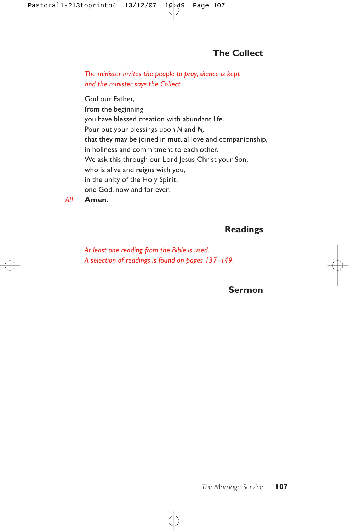*The minister invites the people to pray, silence is kept and the minister says the Collect*

God our Father, from the beginning you have blessed creation with abundant life. Pour out your blessings upon *N* and *N,* that they may be joined in mutual love and companionship, in holiness and commitment to each other. We ask this through our Lord Jesus Christ your Son, who is alive and reigns with you, in the unity of the Holy Spirit, one God, now and for ever.

*All* **Amen.**

**Readings**

*At least one reading from the Bible is used. A selection of readings is found on pages 137–149.*

### **Sermon**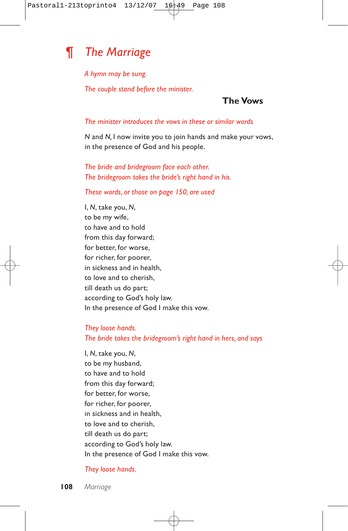

*A hymn may be sung.*

*The couple stand before the minister.*

### **The Vows**

#### *The minister introduces the vows in these or similar words*

*N* and *N,* I now invite you to join hands and make your vows, in the presence of God and his people.

*The bride and bridegroom face each other. The bridegroom takes the bride's right hand in his.*

#### *These words, or those on page 150, are used*

I, *N*, take you, *N*, to be my wife, to have and to hold from this day forward; for better, for worse, for richer, for poorer, in sickness and in health, to love and to cherish, till death us do part; according to God's holy law. In the presence of God I make this vow.

#### *They loose hands.*

*The bride takes the bridegroom's right hand in hers, and says*

I, *N*, take you, *N*, to be my husband, to have and to hold from this day forward; for better, for worse, for richer, for poorer, in sickness and in health, to love and to cherish, till death us do part; according to God's holy law. In the presence of God I make this vow.

#### *They loose hands.*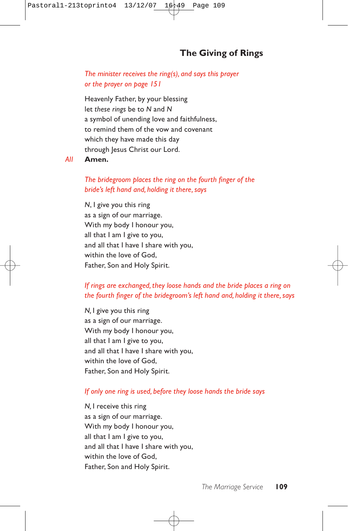# **The Giving of Rings**

*The minister receives the ring(s), and says this prayer or the prayer on page 151*

Heavenly Father, by your blessing let *these rings* be to *N* and *N* a symbol of unending love and faithfulness, to remind them of the vow and covenant which they have made this day through Jesus Christ our Lord.

#### *All* **Amen.**

#### *The bridegroom places the ring on the fourth finger of the bride's left hand and, holding it there, says*

*N*, I give you this ring as a sign of our marriage. With my body I honour you, all that I am I give to you, and all that I have I share with you, within the love of God, Father, Son and Holy Spirit.

### *If rings are exchanged, they loose hands and the bride places a ring on the fourth finger of the bridegroom's left hand and, holding it there, says*

*N,* I give you this ring as a sign of our marriage. With my body I honour you, all that I am I give to you, and all that I have I share with you, within the love of God, Father, Son and Holy Spirit.

#### *If only one ring is used, before they loose hands the bride says*

*N,* I receive this ring as a sign of our marriage. With my body I honour you, all that I am I give to you, and all that I have I share with you, within the love of God, Father, Son and Holy Spirit.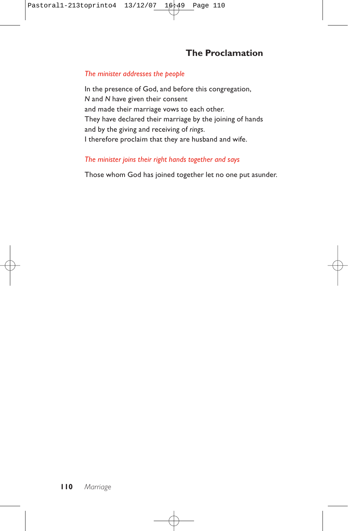# **The Proclamation**

#### *The minister addresses the people*

In the presence of God, and before this congregation, *N* and *N* have given their consent and made their marriage vows to each other. They have declared their marriage by the joining of hands and by the giving and receiving of *rings.* I therefore proclaim that they are husband and wife.

### *The minister joins their right hands together and says*

Those whom God has joined together let no one put asunder.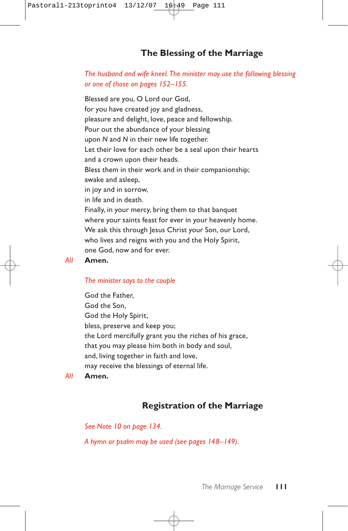# **The Blessing of the Marriage**

*The husband and wife kneel. The minister may use the following blessing or one of those on pages 152–155.*

Blessed are you, O Lord our God, for you have created joy and gladness, pleasure and delight, love, peace and fellowship. Pour out the abundance of your blessing upon *N* and *N* in their new life together. Let their love for each other be a seal upon their hearts and a crown upon their heads. Bless them in their work and in their companionship; awake and asleep, in joy and in sorrow, in life and in death. Finally, in your mercy, bring them to that banquet where your saints feast for ever in your heavenly home. We ask this through Jesus Christ your Son, our Lord, who lives and reigns with you and the Holy Spirit, one God, now and for ever.

#### *All* **Amen.**

#### *The minister says to the couple*

God the Father, God the Son, God the Holy Spirit, bless, preserve and keep you; the Lord mercifully grant you the riches of his grace, that you may please him both in body and soul, and, living together in faith and love, may receive the blessings of eternal life.

*All* **Amen.**

## **Registration of the Marriage**

*See Note 10 on page 134.*

*A hymn or psalm may be used (see pages 148–149).*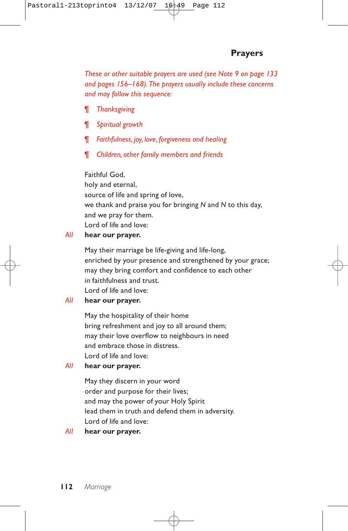*These or other suitable prayers are used (see Note 9 on page 133 and pages 156–168). The prayers usually include these concerns and may follow this sequence:*

- ¶ *Thanksgiving*
- ¶ *Spiritual growth*
- ¶ *Faithfulness, joy, love, forgiveness and healing*
- ¶ *Children, other family members and friends*

#### Faithful God,

holy and eternal, source of life and spring of love, we thank and praise you for bringing *N* and *N* to this day, and we pray for them. Lord of life and love:

#### *All* **hear our prayer.**

May their marriage be life-giving and life-long, enriched by your presence and strengthened by your grace; may they bring comfort and confidence to each other in faithfulness and trust. Lord of life and love:

#### *All* **hear our prayer.**

May the hospitality of their home bring refreshment and joy to all around them; may their love overflow to neighbours in need and embrace those in distress. Lord of life and love:

#### *All* **hear our prayer.**

May they discern in your word order and purpose for their lives; and may the power of your Holy Spirit lead them in truth and defend them in adversity. Lord of life and love:

#### *All* **hear our prayer.**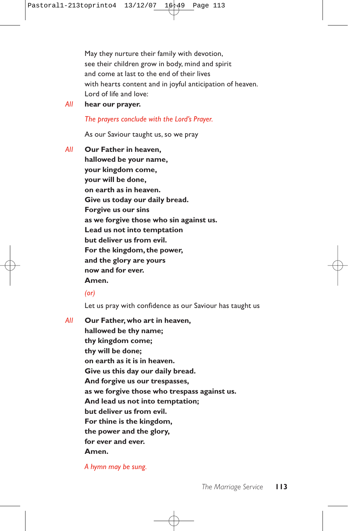May they nurture their family with devotion, see their children grow in body, mind and spirit and come at last to the end of their lives with hearts content and in joyful anticipation of heaven. Lord of life and love:

#### *All* **hear our prayer.**

#### *The prayers conclude with the Lord's Prayer.*

As our Saviour taught us, so we pray

- *All* **Our Father in heaven, hallowed be your name, your kingdom come, your will be done, on earth as in heaven. Give us today our daily bread. Forgive us our sins as we forgive those who sin against us. Lead us not into temptation but deliver us from evil. For the kingdom, the power, and the glory are yours now and for ever. Amen.**
	- *(or)*

Let us pray with confidence as our Saviour has taught us

*All* **Our Father, who art in heaven, hallowed be thy name; thy kingdom come; thy will be done; on earth as it is in heaven. Give us this day our daily bread. And forgive us our trespasses, as we forgive those who trespass against us. And lead us not into temptation; but deliver us from evil. For thine is the kingdom, the power and the glory, for ever and ever. Amen.**

*A hymn may be sung.*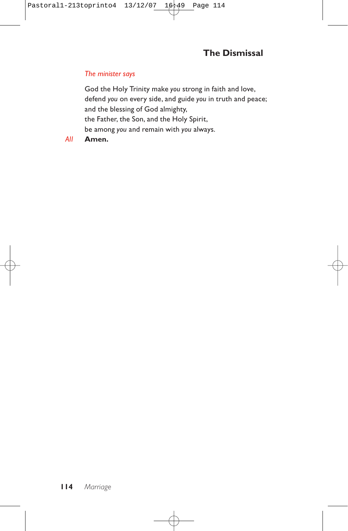### *The minister says*

God the Holy Trinity make *you* strong in faith and love, defend *you* on every side, and guide *you* in truth and peace; and the blessing of God almighty, the Father, the Son, and the Holy Spirit, be among *you* and remain with *you* always.

*All* **Amen.**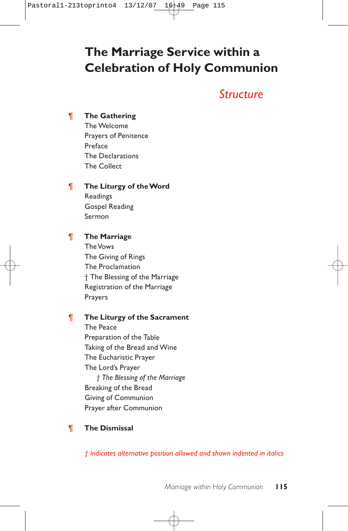# **The Marriage Service within a Celebration of Holy Communion**

# *Structure*

#### ¶ **The Gathering**

The Welcome Prayers of Penitence Preface The Declarations The Collect

#### ¶ **The Liturgy of the Word**

Readings Gospel Reading Sermon

#### ¶ **The Marriage**

The Vows The Giving of Rings The Proclamation † The Blessing of the Marriage Registration of the Marriage Prayers

#### ¶ **The Liturgy of the Sacrament**

The Peace Preparation of the Table Taking of the Bread and Wine The Eucharistic Prayer The Lord's Prayer *† The Blessing of the Marriage* Breaking of the Bread Giving of Communion Prayer after Communion

#### ¶ **The Dismissal**

*† indicates alternative position allowed and shown indented in italics*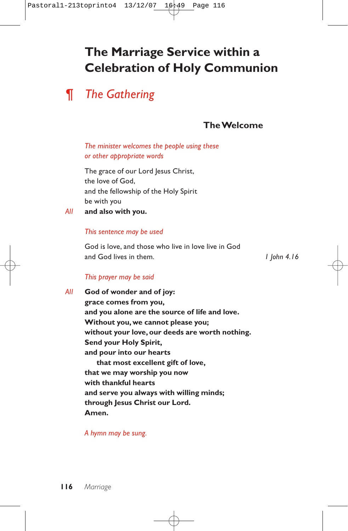# **The Marriage Service within a Celebration of Holy Communion**

# *¶ The Gathering*

## **The Welcome**

### *The minister welcomes the people using these or other appropriate words*

The grace of our Lord Jesus Christ, the love of God, and the fellowship of the Holy Spirit be with you

#### *All* **and also with you.**

#### *This sentence may be used*

God is love, and those who live in love live in God and God lives in them. **1** *John 4.16* 

#### *This prayer may be said*

*All* **God of wonder and of joy: grace comes from you, and you alone are the source of life and love. Without you, we cannot please you; without your love, our deeds are worth nothing. Send your Holy Spirit, and pour into our hearts that most excellent gift of love, that we may worship you now with thankful hearts and serve you always with willing minds; through Jesus Christ our Lord. Amen.**

*A hymn may be sung.*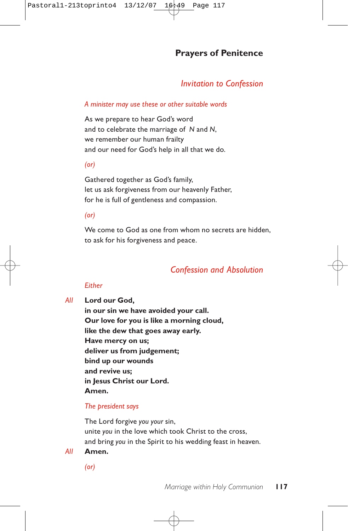## **Prayers of Penitence**

## *Invitation to Confession*

#### *A minister may use these or other suitable words*

As we prepare to hear God's word and to celebrate the marriage of *N* and *N*, we remember our human frailty and our need for God's help in all that we do.

#### *(or)*

Gathered together as God's family, let us ask forgiveness from our heavenly Father, for he is full of gentleness and compassion.

#### *(or)*

We come to God as one from whom no secrets are hidden, to ask for his forgiveness and peace.

## *Confession and Absolution*

#### *Either*

*All* **Lord our God,**

**in our sin we have avoided your call. Our love for you is like a morning cloud, like the dew that goes away early. Have mercy on us; deliver us from judgement; bind up our wounds and revive us; in Jesus Christ our Lord. Amen.**

#### *The president says*

The Lord forgive *you your* sin, unite *you* in the love which took Christ to the cross, and bring *you* in the Spirit to his wedding feast in heaven.

#### *All* **Amen.**

*(or)*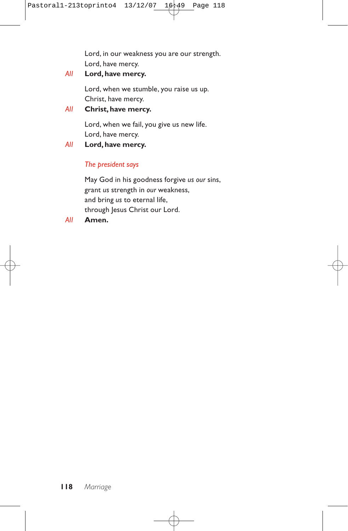Lord, in our weakness you are our strength. Lord, have mercy.

## *All* **Lord, have mercy.**

Lord, when we stumble, you raise us up. Christ, have mercy.

### *All* **Christ, have mercy.**

Lord, when we fail, you give us new life. Lord, have mercy.

## *All* **Lord, have mercy.**

#### *The president says*

May God in his goodness forgive *us our* sins, grant *us* strength in *our* weakness, and bring *us* to eternal life, through Jesus Christ our Lord.

*All* **Amen.**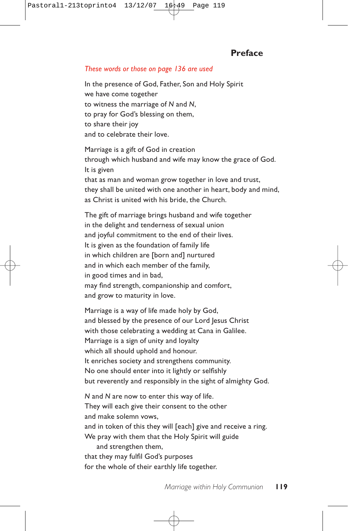## **Preface**

#### *These words or those on page 136 are used*

In the presence of God, Father, Son and Holy Spirit we have come together to witness the marriage of *N* and *N*, to pray for God's blessing on them, to share their joy and to celebrate their love.

Marriage is a gift of God in creation through which husband and wife may know the grace of God. It is given that as man and woman grow together in love and trust, they shall be united with one another in heart, body and mind, as Christ is united with his bride, the Church.

The gift of marriage brings husband and wife together in the delight and tenderness of sexual union and joyful commitment to the end of their lives. It is given as the foundation of family life in which children are [born and] nurtured and in which each member of the family, in good times and in bad, may find strength, companionship and comfort, and grow to maturity in love.

Marriage is a way of life made holy by God, and blessed by the presence of our Lord Jesus Christ with those celebrating a wedding at Cana in Galilee. Marriage is a sign of unity and loyalty which all should uphold and honour. It enriches society and strengthens community. No one should enter into it lightly or selfishly but reverently and responsibly in the sight of almighty God.

*N* and *N* are now to enter this way of life. They will each give their consent to the other and make solemn vows, and in token of this they will [each] give and receive a ring. We pray with them that the Holy Spirit will guide and strengthen them, that they may fulfil God's purposes for the whole of their earthly life together.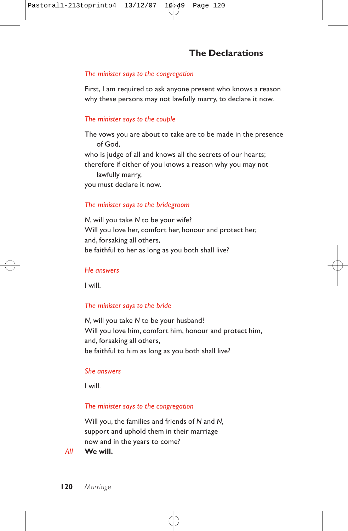#### *The minister says to the congregation*

First, I am required to ask anyone present who knows a reason why these persons may not lawfully marry, to declare it now.

#### *The minister says to the couple*

The vows you are about to take are to be made in the presence of God, who is judge of all and knows all the secrets of our hearts; therefore if either of you knows a reason why you may not lawfully marry, you must declare it now.

#### *The minister says to the bridegroom*

*N*, will you take *N* to be your wife? Will you love her, comfort her, honour and protect her, and, forsaking all others, be faithful to her as long as you both shall live?

#### *He answers*

I will.

#### *The minister says to the bride*

*N*, will you take *N* to be your husband? Will you love him, comfort him, honour and protect him, and, forsaking all others, be faithful to him as long as you both shall live?

#### *She answers*

I will.

#### *The minister says to the congregation*

Will you, the families and friends of *N* and *N,* support and uphold them in their marriage now and in the years to come?

*All* **We will.**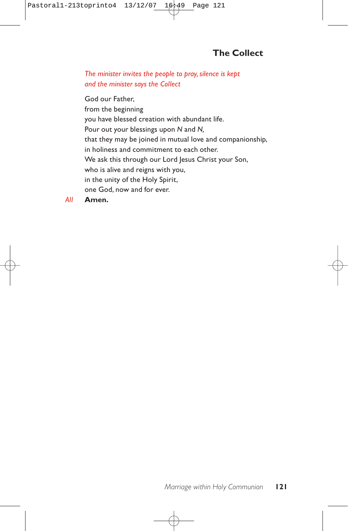*The minister invites the people to pray, silence is kept and the minister says the Collect*

God our Father, from the beginning you have blessed creation with abundant life. Pour out your blessings upon *N* and *N,* that they may be joined in mutual love and companionship, in holiness and commitment to each other. We ask this through our Lord Jesus Christ your Son, who is alive and reigns with you, in the unity of the Holy Spirit, one God, now and for ever.

*All* **Amen.**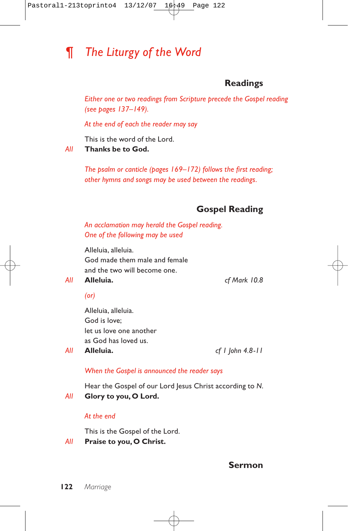# *¶ The Liturgy of the Word*

# **Readings**

*Either one or two readings from Scripture precede the Gospel reading (see pages 137–149).*

*At the end of each the reader may say*

This is the word of the Lord.

*All* **Thanks be to God.**

*The psalm or canticle (pages 169–172) follows the first reading; other hymns and songs may be used between the readings.*

# **Gospel Reading**

## *An acclamation may herald the Gospel reading. One of the following may be used*

Alleluia, alleluia. God made them male and female and the two will become one.

*All* **Alleluia.** *cf Mark 10.8*

#### *(or)*

Alleluia, alleluia. God is love; let us love one another as God has loved us.

*All* **Alleluia.** *cf 1 John 4.8-11*

### *When the Gospel is announced the reader says*

Hear the Gospel of our Lord Jesus Christ according to *N*.

*All* **Glory to you, O Lord.**

#### *At the end*

This is the Gospel of the Lord.

*All* **Praise to you, O Christ.**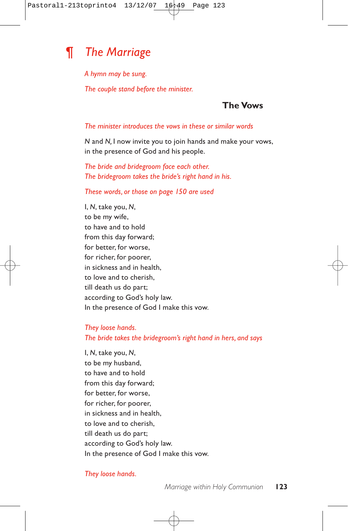

*A hymn may be sung.*

*The couple stand before the minister.*

## **The Vows**

#### *The minister introduces the vows in these or similar words*

*N* and *N,* I now invite you to join hands and make your vows, in the presence of God and his people.

*The bride and bridegroom face each other. The bridegroom takes the bride's right hand in his.*

#### *These words, or those on page 150 are used*

I, *N*, take you, *N*, to be my wife, to have and to hold from this day forward; for better, for worse, for richer, for poorer, in sickness and in health, to love and to cherish, till death us do part; according to God's holy law. In the presence of God I make this vow.

#### *They loose hands.*

*The bride takes the bridegroom's right hand in hers, and says*

I, *N*, take you, *N*, to be my husband, to have and to hold from this day forward; for better, for worse, for richer, for poorer, in sickness and in health, to love and to cherish, till death us do part; according to God's holy law. In the presence of God I make this vow.

*They loose hands.*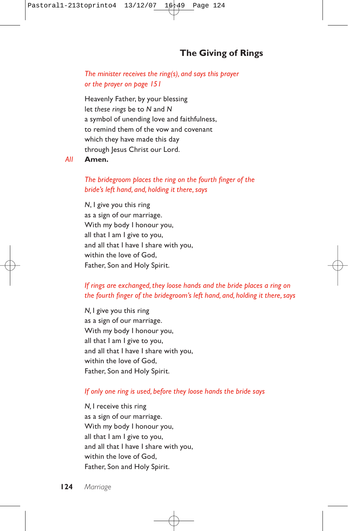# **The Giving of Rings**

*The minister receives the ring(s), and says this prayer or the prayer on page 151*

Heavenly Father, by your blessing let *these rings* be to *N* and *N* a symbol of unending love and faithfulness, to remind them of the vow and covenant which they have made this day through Jesus Christ our Lord.

*All* **Amen.**

#### *The bridegroom places the ring on the fourth finger of the bride's left hand, and, holding it there, says*

*N*, I give you this ring as a sign of our marriage. With my body I honour you, all that I am I give to you, and all that I have I share with you, within the love of God, Father, Son and Holy Spirit.

### *If rings are exchanged, they loose hands and the bride places a ring on the fourth finger of the bridegroom's left hand, and, holding it there, says*

*N,* I give you this ring as a sign of our marriage. With my body I honour you, all that I am I give to you, and all that I have I share with you, within the love of God, Father, Son and Holy Spirit.

#### *If only one ring is used, before they loose hands the bride says*

*N,* I receive this ring as a sign of our marriage. With my body I honour you, all that I am I give to you, and all that I have I share with you, within the love of God, Father, Son and Holy Spirit.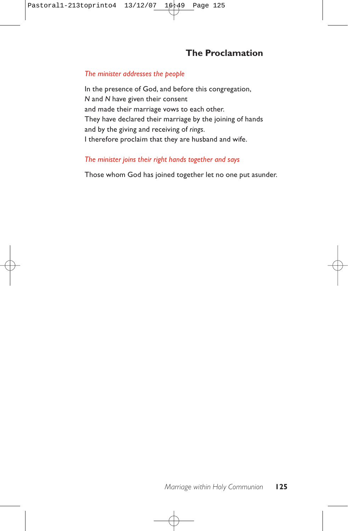# **The Proclamation**

#### *The minister addresses the people*

In the presence of God, and before this congregation, *N* and *N* have given their consent and made their marriage vows to each other. They have declared their marriage by the joining of hands and by the giving and receiving of *rings.* I therefore proclaim that they are husband and wife.

#### *The minister joins their right hands together and says*

Those whom God has joined together let no one put asunder.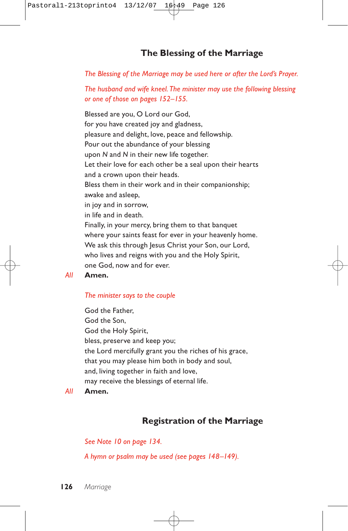# **The Blessing of the Marriage**

*The Blessing of the Marriage may be used here or after the Lord's Prayer.*

*The husband and wife kneel. The minister may use the following blessing or one of those on pages 152–155.*

Blessed are you, O Lord our God, for you have created joy and gladness, pleasure and delight, love, peace and fellowship. Pour out the abundance of your blessing upon *N* and *N* in their new life together. Let their love for each other be a seal upon their hearts and a crown upon their heads. Bless them in their work and in their companionship; awake and asleep, in joy and in sorrow, in life and in death. Finally, in your mercy, bring them to that banquet where your saints feast for ever in your heavenly home. We ask this through Jesus Christ your Son, our Lord, who lives and reigns with you and the Holy Spirit, one God, now and for ever.

#### *All* **Amen.**

#### *The minister says to the couple*

God the Father, God the Son, God the Holy Spirit, bless, preserve and keep you; the Lord mercifully grant you the riches of his grace, that you may please him both in body and soul, and, living together in faith and love, may receive the blessings of eternal life.

*All* **Amen.**

# **Registration of the Marriage**

*See Note 10 on page 134.*

*A hymn or psalm may be used (see pages 148–149).*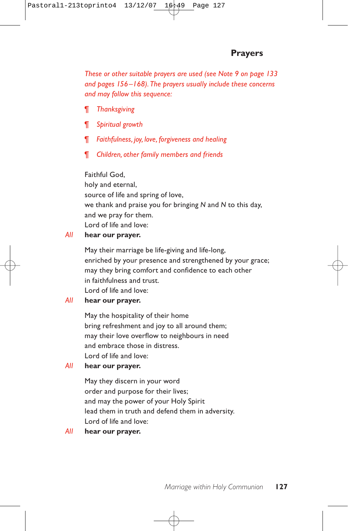*These or other suitable prayers are used (see Note 9 on page 133 and pages 156–168). The prayers usually include these concerns and may follow this sequence:*

- ¶ *Thanksgiving*
- ¶ *Spiritual growth*
- ¶ *Faithfulness, joy, love, forgiveness and healing*
- ¶ *Children, other family members and friends*

#### Faithful God,

holy and eternal, source of life and spring of love, we thank and praise you for bringing *N* and *N* to this day, and we pray for them. Lord of life and love:

#### *All* **hear our prayer.**

May their marriage be life-giving and life-long, enriched by your presence and strengthened by your grace; may they bring comfort and confidence to each other in faithfulness and trust. Lord of life and love:

#### *All* **hear our prayer.**

May the hospitality of their home bring refreshment and joy to all around them; may their love overflow to neighbours in need and embrace those in distress. Lord of life and love:

#### *All* **hear our prayer.**

May they discern in your word order and purpose for their lives; and may the power of your Holy Spirit lead them in truth and defend them in adversity. Lord of life and love:

#### *All* **hear our prayer.**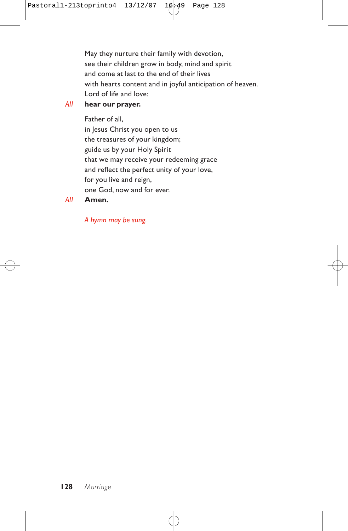May they nurture their family with devotion, see their children grow in body, mind and spirit and come at last to the end of their lives with hearts content and in joyful anticipation of heaven. Lord of life and love:

### *All* **hear our prayer.**

Father of all, in Jesus Christ you open to us the treasures of your kingdom; guide us by your Holy Spirit that we may receive your redeeming grace and reflect the perfect unity of your love, for you live and reign, one God, now and for ever.

#### *All* **Amen.**

#### *A hymn may be sung.*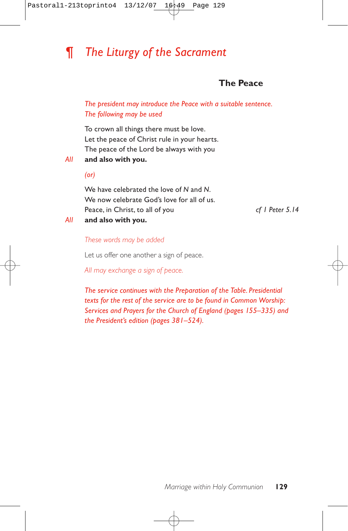# *¶ The Liturgy of the Sacrament*

## **The Peace**

*The president may introduce the Peace with a suitable sentence. The following may be used*

To crown all things there must be love. Let the peace of Christ rule in your hearts. The peace of the Lord be always with you

*All* **and also with you.**

*(or)*

We have celebrated the love of *N* and *N*. We now celebrate God's love for all of us. Peace, in Christ, to all of you *cf 1 Peter 5.14*

*All* **and also with you.**

*These words may be added*

Let us offer one another a sign of peace.

*All may exchange a sign of peace.*

*The service continues with the Preparation of the Table. Presidential texts for the rest of the service are to be found in Common Worship: Services and Prayers for the Church of England (pages 155–335) and the President's edition (pages 381–524).*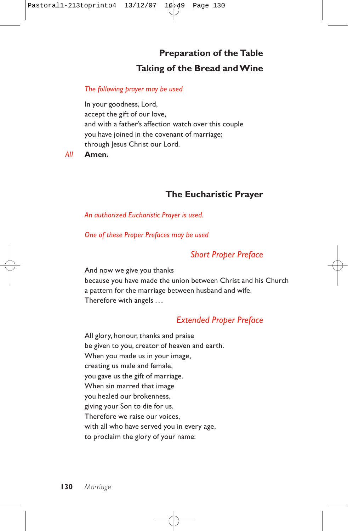# **Preparation of the Table Taking of the Bread and Wine**

### *The following prayer may be used*

In your goodness, Lord, accept the gift of our love, and with a father's affection watch over this couple you have joined in the covenant of marriage; through Jesus Christ our Lord.

*All* **Amen.**

# **The Eucharistic Prayer**

#### *An authorized Eucharistic Prayer is used.*

#### *One of these Proper Prefaces may be used*

## *Short Proper Preface*

And now we give you thanks because you have made the union between Christ and his Church a pattern for the marriage between husband and wife. Therefore with angels ...

# *Extended Proper Preface*

All glory, honour, thanks and praise be given to you, creator of heaven and earth. When you made us in your image, creating us male and female, you gave us the gift of marriage. When sin marred that image you healed our brokenness, giving your Son to die for us. Therefore we raise our voices, with all who have served you in every age, to proclaim the glory of your name: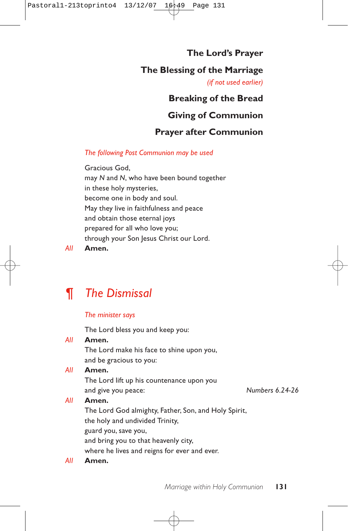## **The Lord's Prayer**

## **The Blessing of the Marriage**

*(if not used earlier)*

## **Breaking of the Bread**

**Giving of Communion**

# **Prayer after Communion**

### *The following Post Communion may be used*

Gracious God, may *N* and *N*, who have been bound together in these holy mysteries, become one in body and soul. May they live in faithfulness and peace and obtain those eternal joys prepared for all who love you; through your Son Jesus Christ our Lord.

*All* **Amen.**

# *¶ The Dismissal*

#### *The minister says*

The Lord bless you and keep you:

| All | Amen.                                                |                 |
|-----|------------------------------------------------------|-----------------|
|     | The Lord make his face to shine upon you,            |                 |
|     | and be gracious to you:                              |                 |
| All | Amen.                                                |                 |
|     | The Lord lift up his countenance upon you            |                 |
|     | and give you peace:                                  | Numbers 6.24-26 |
| All | Amen.                                                |                 |
|     | The Lord God almighty, Father, Son, and Holy Spirit, |                 |
|     | the holy and undivided Trinity,                      |                 |
|     | guard you, save you,                                 |                 |
|     | and bring you to that heavenly city,                 |                 |
|     | where he lives and reigns for ever and ever.         |                 |
|     |                                                      |                 |

### *All* **Amen.**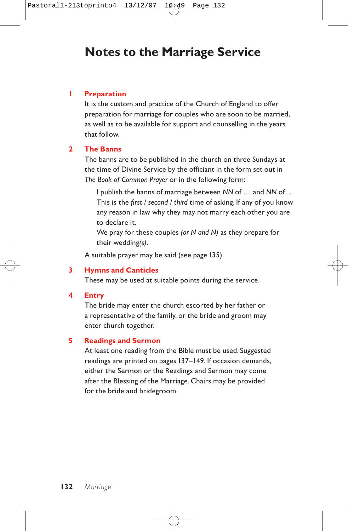# **Notes to the Marriage Service**

#### **1 Preparation**

It is the custom and practice of the Church of England to offer preparation for marriage for couples who are soon to be married, as well as to be available for support and counselling in the years that follow.

#### **2 The Banns**

The banns are to be published in the church on three Sundays at the time of Divine Service by the officiant in the form set out in *The Book of Common Prayer* or in the following form:

I publish the banns of marriage between *NN* of … and *NN* of … This is the *first / second / third* time of asking. If any of you know any reason in law why they may not marry each other you are to declare it.

We pray for these couples *(or N and N)* as they prepare for their wedding*(s)*.

A suitable prayer may be said (see page 135).

#### **3 Hymns and Canticles**

These may be used at suitable points during the service.

#### **4 Entry**

The bride may enter the church escorted by her father or a representative of the family, or the bride and groom may enter church together.

#### **5 Readings and Sermon**

At least one reading from the Bible must be used. Suggested readings are printed on pages 137–149. If occasion demands, either the Sermon or the Readings and Sermon may come after the Blessing of the Marriage. Chairs may be provided for the bride and bridegroom.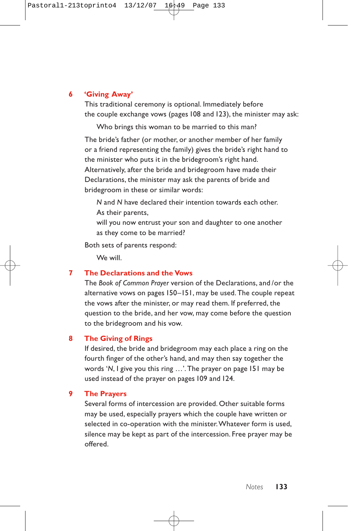### **6 'Giving Away'**

This traditional ceremony is optional. Immediately before the couple exchange vows (pages 108 and 123), the minister may ask:

Who brings this woman to be married to this man? The bride's father (or mother, or another member of her family or a friend representing the family) gives the bride's right hand to the minister who puts it in the bridegroom's right hand. Alternatively, after the bride and bridegroom have made their Declarations, the minister may ask the parents of bride and bridegroom in these or similar words:

*N* and *N* have declared their intention towards each other. As their parents,

will you now entrust your son and daughter to one another as they come to be married?

Both sets of parents respond:

We will.

#### **7 The Declarations and the Vows**

The *Book of Common Prayer* version of the Declarations, and / or the alternative vows on pages 150–151, may be used. The couple repeat the vows after the minister, or may read them. If preferred, the question to the bride, and her vow, may come before the question to the bridegroom and his vow.

#### **8 The Giving of Rings**

If desired, the bride and bridegroom may each place a ring on the fourth finger of the other's hand, and may then say together the words '*N*, I give you this ring …'. The prayer on page 151 may be used instead of the prayer on pages 109 and 124.

#### **9 The Prayers**

Several forms of intercession are provided. Other suitable forms may be used, especially prayers which the couple have written or selected in co-operation with the minister.Whatever form is used, silence may be kept as part of the intercession. Free prayer may be offered.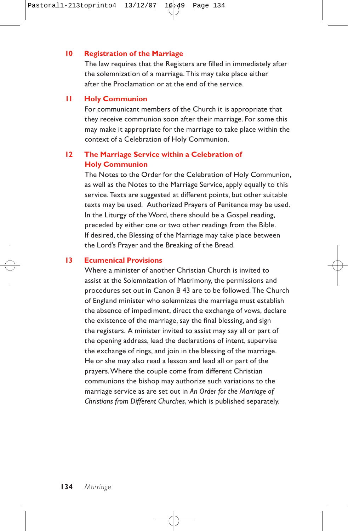#### **10 Registration of the Marriage**

The law requires that the Registers are filled in immediately after the solemnization of a marriage. This may take place either after the Proclamation or at the end of the service.

#### **11 Holy Communion**

For communicant members of the Church it is appropriate that they receive communion soon after their marriage. For some this may make it appropriate for the marriage to take place within the context of a Celebration of Holy Communion.

## **12 The Marriage Service within a Celebration of Holy Communion**

The Notes to the Order for the Celebration of Holy Communion, as well as the Notes to the Marriage Service, apply equally to this service. Texts are suggested at different points, but other suitable texts may be used. Authorized Prayers of Penitence may be used. In the Liturgy of the Word, there should be a Gospel reading, preceded by either one or two other readings from the Bible. If desired, the Blessing of the Marriage may take place between the Lord's Prayer and the Breaking of the Bread.

#### **13 Ecumenical Provisions**

Where a minister of another Christian Church is invited to assist at the Solemnization of Matrimony, the permissions and procedures set out in Canon B 43 are to be followed. The Church of England minister who solemnizes the marriage must establish the absence of impediment, direct the exchange of vows, declare the existence of the marriage, say the final blessing, and sign the registers. A minister invited to assist may say all or part of the opening address, lead the declarations of intent, supervise the exchange of rings, and join in the blessing of the marriage. He or she may also read a lesson and lead all or part of the prayers.Where the couple come from different Christian communions the bishop may authorize such variations to the marriage service as are set out in *An Order for the Marriage of Christians from Different Churches*, which is published separately.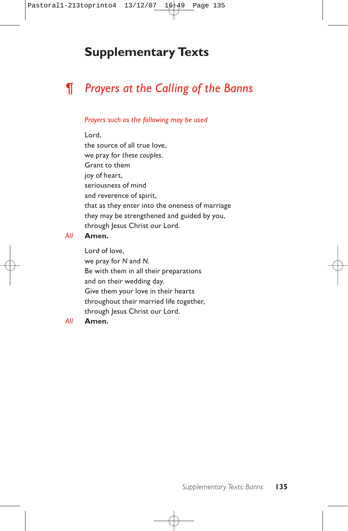# **Supplementary Texts**

# *¶ Prayers at the Calling of the Banns*

#### *Prayers such as the following may be used*

Lord, the source of all true love, we pray for *these couples*. Grant to them joy of heart. seriousness of mind and reverence of spirit, that as they enter into the oneness of marriage they may be strengthened and guided by you, through Jesus Christ our Lord.

### *All* **Amen.**

Lord of love,

we pray for *N* and *N.* Be with them in all their preparations and on their wedding day. Give them your love in their hearts throughout their married life together, through Jesus Christ our Lord.

*All* **Amen.**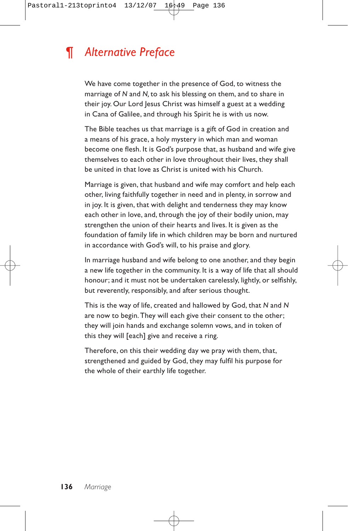# *¶ Alternative Preface*

We have come together in the presence of God, to witness the marriage of *N* and *N,* to ask his blessing on them, and to share in their joy. Our Lord Jesus Christ was himself a guest at a wedding in Cana of Galilee, and through his Spirit he is with us now.

The Bible teaches us that marriage is a gift of God in creation and a means of his grace, a holy mystery in which man and woman become one flesh. It is God's purpose that, as husband and wife give themselves to each other in love throughout their lives, they shall be united in that love as Christ is united with his Church.

Marriage is given, that husband and wife may comfort and help each other, living faithfully together in need and in plenty, in sorrow and in joy. It is given, that with delight and tenderness they may know each other in love, and, through the joy of their bodily union, may strengthen the union of their hearts and lives. It is given as the foundation of family life in which children may be born and nurtured in accordance with God's will, to his praise and glory.

In marriage husband and wife belong to one another, and they begin a new life together in the community. It is a way of life that all should honour; and it must not be undertaken carelessly, lightly, or selfishly, but reverently, responsibly, and after serious thought.

This is the way of life, created and hallowed by God, that *N* and *N* are now to begin. They will each give their consent to the other; they will join hands and exchange solemn vows, and in token of this they will [each] give and receive a ring.

Therefore, on this their wedding day we pray with them, that, strengthened and guided by God, they may fulfil his purpose for the whole of their earthly life together.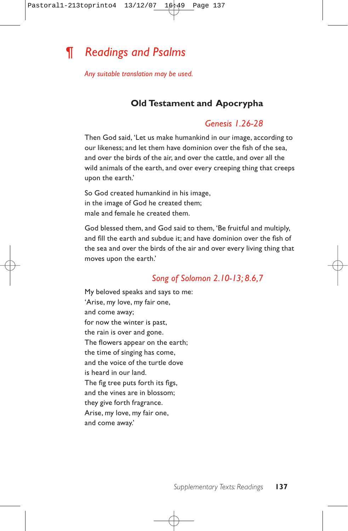# *¶ Readings and Psalms*

*Any suitable translation may be used.*

## **Old Testament and Apocrypha**

## *Genesis 1.26-28*

Then God said, 'Let us make humankind in our image, according to our likeness; and let them have dominion over the fish of the sea, and over the birds of the air, and over the cattle, and over all the wild animals of the earth, and over every creeping thing that creeps upon the earth.'

So God created humankind in his image, in the image of God he created them; male and female he created them.

God blessed them, and God said to them, 'Be fruitful and multiply, and fill the earth and subdue it; and have dominion over the fish of the sea and over the birds of the air and over every living thing that moves upon the earth.'

## *Song of Solomon 2.10-13; 8.6,7*

My beloved speaks and says to me: 'Arise, my love, my fair one, and come away; for now the winter is past, the rain is over and gone. The flowers appear on the earth; the time of singing has come, and the voice of the turtle dove is heard in our land. The fig tree puts forth its figs, and the vines are in blossom; they give forth fragrance. Arise, my love, my fair one, and come away.'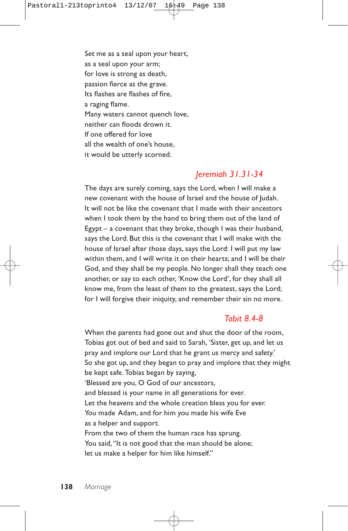Set me as a seal upon your heart, as a seal upon your arm; for love is strong as death, passion fierce as the grave. Its flashes are flashes of fire, a raging flame. Many waters cannot quench love, neither can floods drown it. If one offered for love all the wealth of one's house, it would be utterly scorned.

## *Jeremiah 31.31-34*

The days are surely coming, says the Lord, when I will make a new covenant with the house of Israel and the house of Judah. It will not be like the covenant that I made with their ancestors when I took them by the hand to bring them out of the land of Egypt – a covenant that they broke, though I was their husband, says the Lord. But this is the covenant that I will make with the house of Israel after those days, says the Lord: I will put my law within them, and I will write it on their hearts; and I will be their God, and they shall be my people. No longer shall they teach one another, or say to each other, 'Know the Lord', for they shall all know me, from the least of them to the greatest, says the Lord; for I will forgive their iniquity, and remember their sin no more.

## *Tobit 8.4-8*

When the parents had gone out and shut the door of the room, Tobias got out of bed and said to Sarah, 'Sister, get up, and let us pray and implore our Lord that he grant us mercy and safety.' So she got up, and they began to pray and implore that they might be kept safe. Tobias began by saying, 'Blessed are you, O God of our ancestors, and blessed is your name in all generations for ever. Let the heavens and the whole creation bless you for ever. You made Adam, and for him you made his wife Eve as a helper and support. From the two of them the human race has sprung. You said, "It is not good that the man should be alone; let us make a helper for him like himself."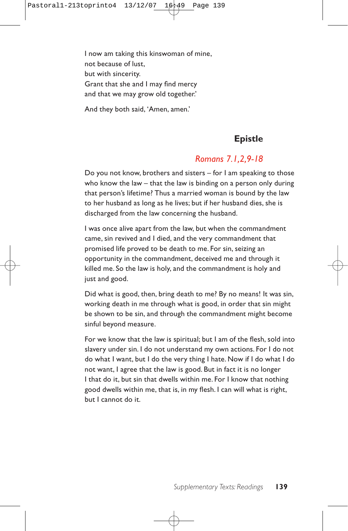I now am taking this kinswoman of mine, not because of lust, but with sincerity. Grant that she and I may find mercy and that we may grow old together.'

And they both said, 'Amen, amen.'

## **Epistle**

## *Romans 7.1,2,9-18*

Do you not know, brothers and sisters – for I am speaking to those who know the law – that the law is binding on a person only during that person's lifetime? Thus a married woman is bound by the law to her husband as long as he lives; but if her husband dies, she is discharged from the law concerning the husband.

I was once alive apart from the law, but when the commandment came, sin revived and I died, and the very commandment that promised life proved to be death to me. For sin, seizing an opportunity in the commandment, deceived me and through it killed me. So the law is holy, and the commandment is holy and just and good.

Did what is good, then, bring death to me? By no means! It was sin, working death in me through what is good, in order that sin might be shown to be sin, and through the commandment might become sinful beyond measure.

For we know that the law is spiritual; but I am of the flesh, sold into slavery under sin. I do not understand my own actions. For I do not do what I want, but I do the very thing I hate. Now if I do what I do not want, I agree that the law is good. But in fact it is no longer I that do it, but sin that dwells within me. For I know that nothing good dwells within me, that is, in my flesh. I can will what is right, but I cannot do it.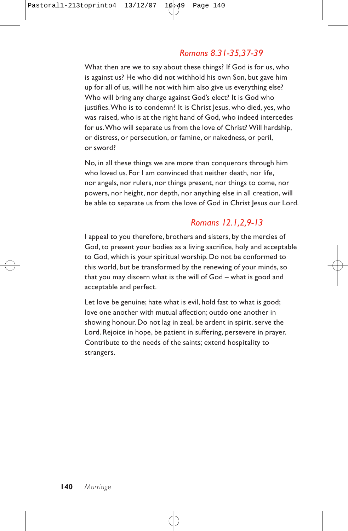## *Romans 8.31-35,37-39*

What then are we to say about these things? If God is for us, who is against us? He who did not withhold his own Son, but gave him up for all of us, will he not with him also give us everything else? Who will bring any charge against God's elect? It is God who justifies. Who is to condemn? It is Christ Jesus, who died, yes, who was raised, who is at the right hand of God, who indeed intercedes for us.Who will separate us from the love of Christ? Will hardship, or distress, or persecution, or famine, or nakedness, or peril, or sword?

No, in all these things we are more than conquerors through him who loved us. For I am convinced that neither death, nor life, nor angels, nor rulers, nor things present, nor things to come, nor powers, nor height, nor depth, nor anything else in all creation, will be able to separate us from the love of God in Christ Jesus our Lord.

## *Romans 12.1,2,9-13*

I appeal to you therefore, brothers and sisters, by the mercies of God, to present your bodies as a living sacrifice, holy and acceptable to God, which is your spiritual worship. Do not be conformed to this world, but be transformed by the renewing of your minds, so that you may discern what is the will of God – what is good and acceptable and perfect.

Let love be genuine; hate what is evil, hold fast to what is good; love one another with mutual affection; outdo one another in showing honour. Do not lag in zeal, be ardent in spirit, serve the Lord. Rejoice in hope, be patient in suffering, persevere in prayer. Contribute to the needs of the saints; extend hospitality to strangers.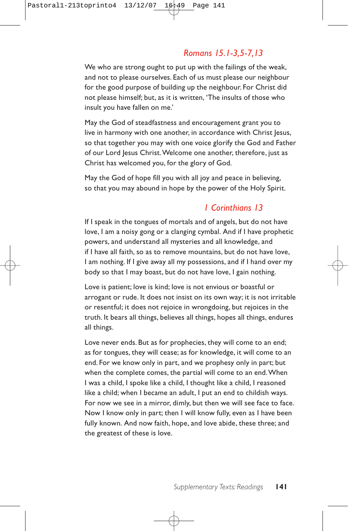## *Romans 15.1-3,5-7,13*

We who are strong ought to put up with the failings of the weak, and not to please ourselves. Each of us must please our neighbour for the good purpose of building up the neighbour. For Christ did not please himself; but, as it is written, 'The insults of those who insult you have fallen on me.'

May the God of steadfastness and encouragement grant you to live in harmony with one another, in accordance with Christ Jesus, so that together you may with one voice glorify the God and Father of our Lord Jesus Christ.Welcome one another, therefore, just as Christ has welcomed you, for the glory of God.

May the God of hope fill you with all joy and peace in believing, so that you may abound in hope by the power of the Holy Spirit.

## *1 Corinthians 13*

If I speak in the tongues of mortals and of angels, but do not have love, I am a noisy gong or a clanging cymbal. And if I have prophetic powers, and understand all mysteries and all knowledge, and if I have all faith, so as to remove mountains, but do not have love, I am nothing. If I give away all my possessions, and if I hand over my body so that I may boast, but do not have love, I gain nothing.

Love is patient; love is kind; love is not envious or boastful or arrogant or rude. It does not insist on its own way; it is not irritable or resentful; it does not rejoice in wrongdoing, but rejoices in the truth. It bears all things, believes all things, hopes all things, endures all things.

Love never ends. But as for prophecies, they will come to an end; as for tongues, they will cease; as for knowledge, it will come to an end. For we know only in part, and we prophesy only in part; but when the complete comes, the partial will come to an end.When I was a child, I spoke like a child, I thought like a child, I reasoned like a child; when I became an adult, I put an end to childish ways. For now we see in a mirror, dimly, but then we will see face to face. Now I know only in part; then I will know fully, even as I have been fully known. And now faith, hope, and love abide, these three; and the greatest of these is love.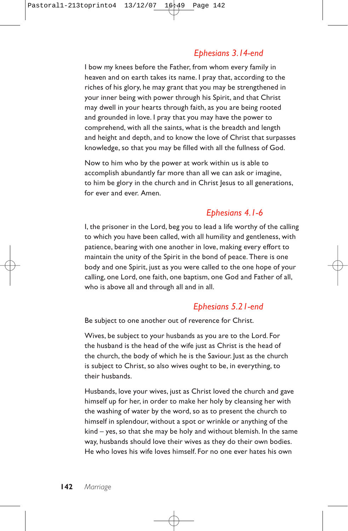## *Ephesians 3.14-end*

I bow my knees before the Father, from whom every family in heaven and on earth takes its name. I pray that, according to the riches of his glory, he may grant that you may be strengthened in your inner being with power through his Spirit, and that Christ may dwell in your hearts through faith, as you are being rooted and grounded in love. I pray that you may have the power to comprehend, with all the saints, what is the breadth and length and height and depth, and to know the love of Christ that surpasses knowledge, so that you may be filled with all the fullness of God.

Now to him who by the power at work within us is able to accomplish abundantly far more than all we can ask or imagine, to him be glory in the church and in Christ Jesus to all generations, for ever and ever. Amen.

## *Ephesians 4.1-6*

I, the prisoner in the Lord, beg you to lead a life worthy of the calling to which you have been called, with all humility and gentleness, with patience, bearing with one another in love, making every effort to maintain the unity of the Spirit in the bond of peace. There is one body and one Spirit, just as you were called to the one hope of your calling, one Lord, one faith, one baptism, one God and Father of all, who is above all and through all and in all.

#### *Ephesians 5.21-end*

Be subject to one another out of reverence for Christ.

Wives, be subject to your husbands as you are to the Lord. For the husband is the head of the wife just as Christ is the head of the church, the body of which he is the Saviour. Just as the church is subject to Christ, so also wives ought to be, in everything, to their husbands.

Husbands, love your wives, just as Christ loved the church and gave himself up for her, in order to make her holy by cleansing her with the washing of water by the word, so as to present the church to himself in splendour, without a spot or wrinkle or anything of the kind – yes, so that she may be holy and without blemish. In the same way, husbands should love their wives as they do their own bodies. He who loves his wife loves himself. For no one ever hates his own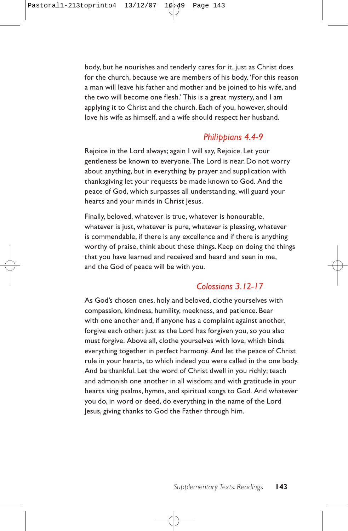body, but he nourishes and tenderly cares for it, just as Christ does for the church, because we are members of his body. 'For this reason a man will leave his father and mother and be joined to his wife, and the two will become one flesh.' This is a great mystery, and I am applying it to Christ and the church. Each of you, however, should love his wife as himself, and a wife should respect her husband.

## *Philippians 4.4-9*

Rejoice in the Lord always; again I will say, Rejoice. Let your gentleness be known to everyone. The Lord is near. Do not worry about anything, but in everything by prayer and supplication with thanksgiving let your requests be made known to God. And the peace of God, which surpasses all understanding, will guard your hearts and your minds in Christ Jesus.

Finally, beloved, whatever is true, whatever is honourable, whatever is just, whatever is pure, whatever is pleasing, whatever is commendable, if there is any excellence and if there is anything worthy of praise, think about these things. Keep on doing the things that you have learned and received and heard and seen in me, and the God of peace will be with you.

## *Colossians 3.12-17*

As God's chosen ones, holy and beloved, clothe yourselves with compassion, kindness, humility, meekness, and patience. Bear with one another and, if anyone has a complaint against another, forgive each other; just as the Lord has forgiven you, so you also must forgive. Above all, clothe yourselves with love, which binds everything together in perfect harmony. And let the peace of Christ rule in your hearts, to which indeed you were called in the one body. And be thankful. Let the word of Christ dwell in you richly; teach and admonish one another in all wisdom; and with gratitude in your hearts sing psalms, hymns, and spiritual songs to God. And whatever you do, in word or deed, do everything in the name of the Lord Jesus, giving thanks to God the Father through him.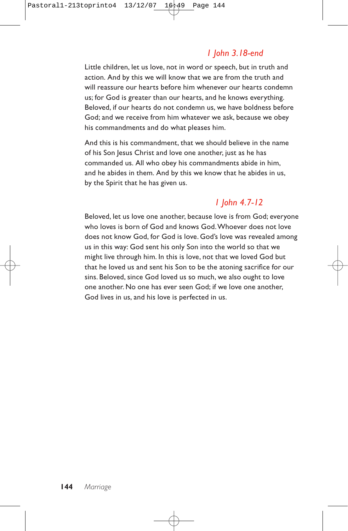## *1 John 3.18-end*

Little children, let us love, not in word or speech, but in truth and action. And by this we will know that we are from the truth and will reassure our hearts before him whenever our hearts condemn us; for God is greater than our hearts, and he knows everything. Beloved, if our hearts do not condemn us, we have boldness before God; and we receive from him whatever we ask, because we obey his commandments and do what pleases him.

And this is his commandment, that we should believe in the name of his Son Jesus Christ and love one another, just as he has commanded us. All who obey his commandments abide in him, and he abides in them. And by this we know that he abides in us, by the Spirit that he has given us.

## *1 John 4.7-12*

Beloved, let us love one another, because love is from God; everyone who loves is born of God and knows God.Whoever does not love does not know God, for God is love. God's love was revealed among us in this way: God sent his only Son into the world so that we might live through him. In this is love, not that we loved God but that he loved us and sent his Son to be the atoning sacrifice for our sins. Beloved, since God loved us so much, we also ought to love one another. No one has ever seen God; if we love one another, God lives in us, and his love is perfected in us.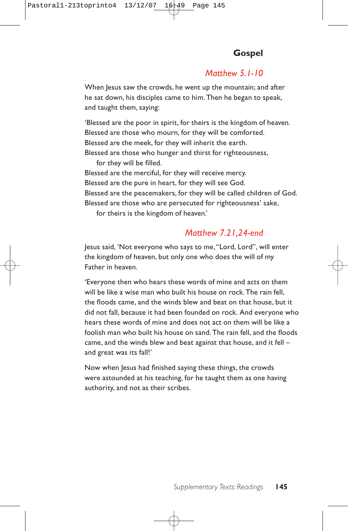## **Gospel**

## *Matthew 5.1-10*

When Jesus saw the crowds, he went up the mountain; and after he sat down, his disciples came to him. Then he began to speak, and taught them, saying:

'Blessed are the poor in spirit, for theirs is the kingdom of heaven. Blessed are those who mourn, for they will be comforted. Blessed are the meek, for they will inherit the earth. Blessed are those who hunger and thirst for righteousness,

for they will be filled.

Blessed are the merciful, for they will receive mercy.

Blessed are the pure in heart, for they will see God.

Blessed are the peacemakers, for they will be called children of God.

Blessed are those who are persecuted for righteousness' sake,

for theirs is the kingdom of heaven.'

## *Matthew 7.21,24-end*

Jesus said, 'Not everyone who says to me,"Lord, Lord", will enter the kingdom of heaven, but only one who does the will of my Father in heaven.

'Everyone then who hears these words of mine and acts on them will be like a wise man who built his house on rock. The rain fell, the floods came, and the winds blew and beat on that house, but it did not fall, because it had been founded on rock. And everyone who hears these words of mine and does not act on them will be like a foolish man who built his house on sand. The rain fell, and the floods came, and the winds blew and beat against that house, and it fell – and great was its fall!'

Now when Jesus had finished saying these things, the crowds were astounded at his teaching, for he taught them as one having authority, and not as their scribes.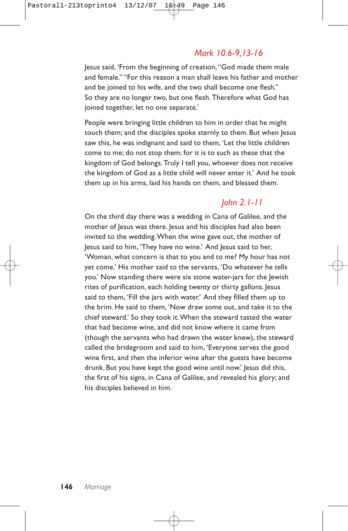## *Mark 10.6-9,13-16*

Jesus said, 'From the beginning of creation,"God made them male and female." "For this reason a man shall leave his father and mother and be joined to his wife, and the two shall become one flesh." So they are no longer two, but one flesh. Therefore what God has joined together, let no one separate.'

People were bringing little children to him in order that he might touch them; and the disciples spoke sternly to them. But when Jesus saw this, he was indignant and said to them, 'Let the little children come to me; do not stop them; for it is to such as these that the kingdom of God belongs. Truly I tell you, whoever does not receive the kingdom of God as a little child will never enter it.' And he took them up in his arms, laid his hands on them, and blessed them.

## *John 2.1-11*

On the third day there was a wedding in Cana of Galilee, and the mother of Jesus was there. Jesus and his disciples had also been invited to the wedding.When the wine gave out, the mother of Jesus said to him, 'They have no wine.' And Jesus said to her, 'Woman, what concern is that to you and to me? My hour has not yet come.' His mother said to the servants, 'Do whatever he tells you.' Now standing there were six stone water-jars for the Jewish rites of purification, each holding twenty or thirty gallons. Jesus said to them, 'Fill the jars with water.' And they filled them up to the brim. He said to them, 'Now draw some out, and take it to the chief steward.' So they took it.When the steward tasted the water that had become wine, and did not know where it came from (though the servants who had drawn the water knew), the steward called the bridegroom and said to him, 'Everyone serves the good wine first, and then the inferior wine after the guests have become drunk. But you have kept the good wine until now.' Jesus did this, the first of his signs, in Cana of Galilee, and revealed his glory; and his disciples believed in him.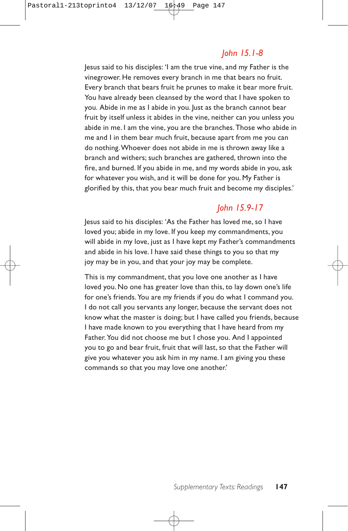## *John 15.1-8*

Jesus said to his disciples: 'I am the true vine, and my Father is the vinegrower. He removes every branch in me that bears no fruit. Every branch that bears fruit he prunes to make it bear more fruit. You have already been cleansed by the word that I have spoken to you. Abide in me as I abide in you. Just as the branch cannot bear fruit by itself unless it abides in the vine, neither can you unless you abide in me. I am the vine, you are the branches. Those who abide in me and I in them bear much fruit, because apart from me you can do nothing.Whoever does not abide in me is thrown away like a branch and withers; such branches are gathered, thrown into the fire, and burned. If you abide in me, and my words abide in you, ask for whatever you wish, and it will be done for you. My Father is glorified by this, that you bear much fruit and become my disciples.'

## *John 15.9-17*

Jesus said to his disciples: 'As the Father has loved me, so I have loved you; abide in my love. If you keep my commandments, you will abide in my love, just as I have kept my Father's commandments and abide in his love. I have said these things to you so that my joy may be in you, and that your joy may be complete.

This is my commandment, that you love one another as I have loved you. No one has greater love than this, to lay down one's life for one's friends. You are my friends if you do what I command you. I do not call you servants any longer, because the servant does not know what the master is doing; but I have called you friends, because I have made known to you everything that I have heard from my Father. You did not choose me but I chose you. And I appointed you to go and bear fruit, fruit that will last, so that the Father will give you whatever you ask him in my name. I am giving you these commands so that you may love one another.'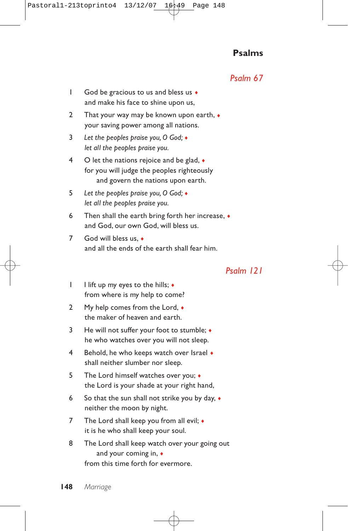## **Psalms**

## *Psalm 67*

- 1 God be gracious to us and bless us ♦ and make his face to shine upon us,
- 2 That your way may be known upon earth,  $\bullet$ your saving power among all nations.
- 3 *Let the peoples praise you, O God;* ♦ *let all the peoples praise you.*
- 4 O let the nations rejoice and be glad,  $\bullet$ for you will judge the peoples righteously and govern the nations upon earth.
- 5 *Let the peoples praise you, O God;* ♦ *let all the peoples praise you.*
- 6 Then shall the earth bring forth her increase, ♦ and God, our own God, will bless us.
- 7 God will bless us, ♦ and all the ends of the earth shall fear him.

## *Psalm 121*

- 1 I lift up my eyes to the hills; ♦ from where is my help to come?
- 2 My help comes from the Lord,  $\bullet$ the maker of heaven and earth.
- 3 He will not suffer your foot to stumble; ♦ he who watches over you will not sleep.
- 4 Behold, he who keeps watch over Israel  $\bullet$ shall neither slumber nor sleep.
- 5 The Lord himself watches over you;  $\bullet$ the Lord is your shade at your right hand,
- 6 So that the sun shall not strike you by day,  $\bullet$ neither the moon by night.
- 7 The Lord shall keep you from all evil;  $\bullet$ it is he who shall keep your soul.
- 8 The Lord shall keep watch over your going out and your coming in, ♦ from this time forth for evermore.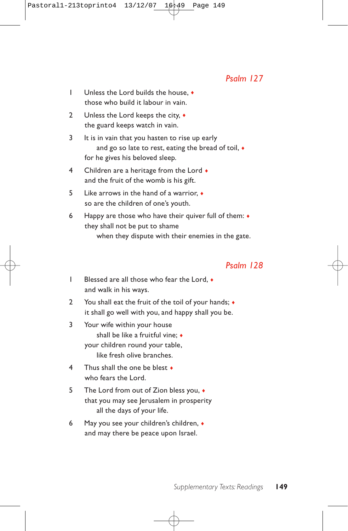## *Psalm 127*

- 1 Unless the Lord builds the house, ♦ those who build it labour in vain.
- 2 Unless the Lord keeps the city,  $\bullet$ the guard keeps watch in vain.
- 3 It is in vain that you hasten to rise up early and go so late to rest, eating the bread of toil,  $\bullet$ for he gives his beloved sleep.
- 4 Children are a heritage from the Lord  $\bullet$ and the fruit of the womb is his gift.
- 5 Like arrows in the hand of a warrior, ♦ so are the children of one's youth.
- 6 Happy are those who have their quiver full of them: ♦ they shall not be put to shame when they dispute with their enemies in the gate.

#### *Psalm 128*

- 1 Blessed are all those who fear the Lord.  $\bullet$ and walk in his ways.
- 2 You shall eat the fruit of the toil of your hands; ♦ it shall go well with you, and happy shall you be.
- 3 Your wife within your house shall be like a fruitful vine; ♦ your children round your table, like fresh olive branches.
- 4 Thus shall the one be blest ♦ who fears the Lord.
- 5 The Lord from out of Zion bless you, ♦ that you may see Jerusalem in prosperity all the days of your life.
- 6 May you see your children's children, ♦ and may there be peace upon Israel.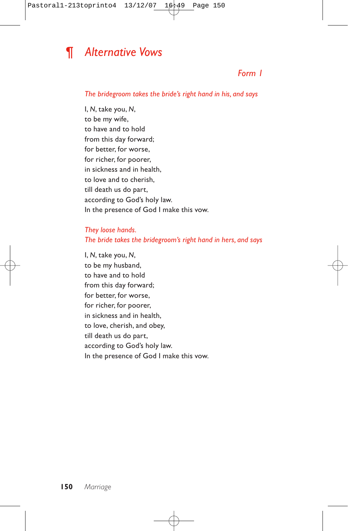# *¶ Alternative Vows*

#### *Form 1*

#### *The bridegroom takes the bride's right hand in his, and says*

I, *N*, take you, *N*, to be my wife, to have and to hold from this day forward; for better, for worse, for richer, for poorer, in sickness and in health, to love and to cherish, till death us do part, according to God's holy law. In the presence of God I make this vow.

#### *They loose hands.*

#### *The bride takes the bridegroom's right hand in hers, and says*

I, *N*, take you, *N*, to be my husband, to have and to hold from this day forward; for better, for worse, for richer, for poorer, in sickness and in health, to love, cherish, and obey, till death us do part, according to God's holy law. In the presence of God I make this vow.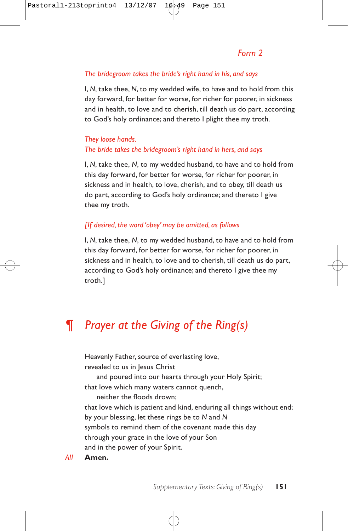## *Form 2*

#### *The bridegroom takes the bride's right hand in his, and says*

I, *N*, take thee, *N*, to my wedded wife, to have and to hold from this day forward, for better for worse, for richer for poorer, in sickness and in health, to love and to cherish, till death us do part, according to God's holy ordinance; and thereto I plight thee my troth.

#### *They loose hands. The bride takes the bridegroom's right hand in hers, and says*

I, *N*, take thee, *N*, to my wedded husband, to have and to hold from this day forward, for better for worse, for richer for poorer, in sickness and in health, to love, cherish, and to obey, till death us do part, according to God's holy ordinance; and thereto I give thee my troth.

#### *[If desired, the word 'obey' may be omitted, as follows*

I, *N*, take thee, *N*, to my wedded husband, to have and to hold from this day forward, for better for worse, for richer for poorer, in sickness and in health, to love and to cherish, till death us do part, according to God's holy ordinance; and thereto I give thee my troth.]

## *¶ Prayer at the Giving of the Ring(s)*

Heavenly Father, source of everlasting love, revealed to us in Jesus Christ and poured into our hearts through your Holy Spirit; that love which many waters cannot quench, neither the floods drown; that love which is patient and kind, enduring all things without end; by your blessing, let these rings be to *N* and *N* symbols to remind them of the covenant made this day through your grace in the love of your Son and in the power of your Spirit.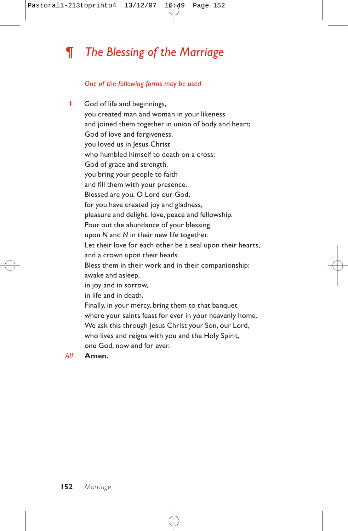# *¶ The Blessing of the Marriage*

#### *One of the following forms may be used*

**1** God of life and beginnings, you created man and woman in your likeness and joined them together in union of body and heart; God of love and forgiveness, you loved us in Jesus Christ who humbled himself to death on a cross; God of grace and strength, you bring your people to faith and fill them with your presence. Blessed are you, O Lord our God, for you have created joy and gladness, pleasure and delight, love, peace and fellowship. Pour out the abundance of your blessing upon *N* and *N* in their new life together. Let their love for each other be a seal upon their hearts, and a crown upon their heads. Bless them in their work and in their companionship; awake and asleep, in joy and in sorrow, in life and in death. Finally, in your mercy, bring them to that banquet where your saints feast for ever in your heavenly home. We ask this through Jesus Christ your Son, our Lord, who lives and reigns with you and the Holy Spirit, one God, now and for ever.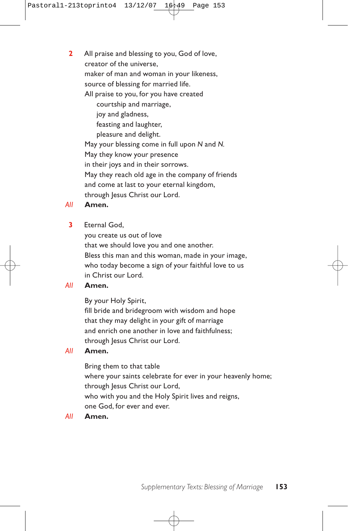**2** All praise and blessing to you, God of love, creator of the universe, maker of man and woman in your likeness, source of blessing for married life. All praise to you, for you have created courtship and marriage, joy and gladness, feasting and laughter, pleasure and delight. May your blessing come in full upon *N* and *N.* May they know your presence in their joys and in their sorrows. May they reach old age in the company of friends and come at last to your eternal kingdom, through Jesus Christ our Lord.

#### *All* **Amen.**

#### **3** Eternal God,

you create us out of love that we should love you and one another. Bless this man and this woman, made in your image, who today become a sign of your faithful love to us in Christ our Lord.

### *All* **Amen.**

By your Holy Spirit,

fill bride and bridegroom with wisdom and hope that they may delight in your gift of marriage and enrich one another in love and faithfulness; through Jesus Christ our Lord.

#### *All* **Amen.**

Bring them to that table where your saints celebrate for ever in your heavenly home; through Jesus Christ our Lord, who with you and the Holy Spirit lives and reigns, one God, for ever and ever.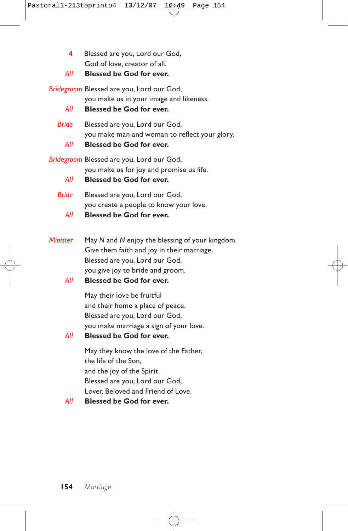- **4** Blessed are you, Lord our God, God of love, creator of all.
- *All* **Blessed be God for ever.**

*Bridegroom* Blessed are you, Lord our God,

you make us in your image and likeness.

- *All* **Blessed be God for ever.**
- *Bride* Blessed are you, Lord our God, you make man and woman to reflect your glory.
	- *All* **Blessed be God for ever.**

*Bridegroom* Blessed are you, Lord our God, you make us for joy and promise us life.

- *All* **Blessed be God for ever.**
- *Bride* Blessed are you, Lord our God, you create a people to know your love.
	- *All* **Blessed be God for ever.**
- *Minister* May *N* and *N* enjoy the blessing of your kingdom. Give them faith and joy in their marriage. Blessed are you, Lord our God, you give joy to bride and groom.
	- *All* **Blessed be God for ever.**

May their love be fruitful and their home a place of peace. Blessed are you, Lord our God, you make marriage a sign of your love.

*All* **Blessed be God for ever.**

May they know the love of the Father, the life of the Son, and the joy of the Spirit. Blessed are you, Lord our God, Lover, Beloved and Friend of Love.

*All* **Blessed be God for ever.**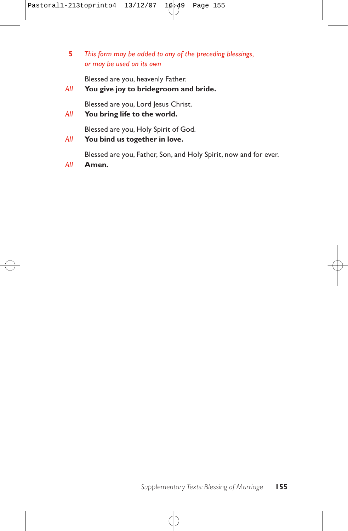## **5** *This form may be added to any of the preceding blessings, or may be used on its own*

Blessed are you, heavenly Father.

#### *All* **You give joy to bridegroom and bride.**

Blessed are you, Lord Jesus Christ.

*All* **You bring life to the world.**

Blessed are you, Holy Spirit of God.

#### *All* **You bind us together in love.**

Blessed are you, Father, Son, and Holy Spirit, now and for ever.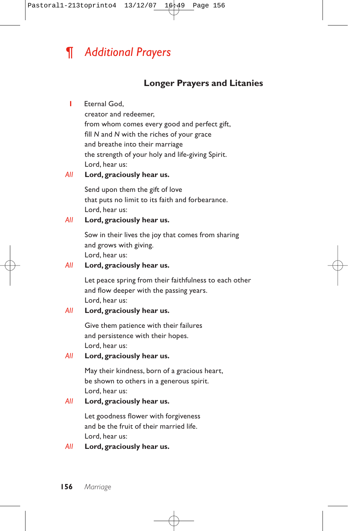# *¶ Additional Prayers*

## **Longer Prayers and Litanies**

**1** Eternal God,

creator and redeemer, from whom comes every good and perfect gift, fill *N* and *N* with the riches of your grace and breathe into their marriage the strength of your holy and life-giving Spirit. Lord, hear us:

#### *All* **Lord, graciously hear us.**

Send upon them the gift of love that puts no limit to its faith and forbearance. Lord, hear us:

#### *All* **Lord, graciously hear us.**

Sow in their lives the joy that comes from sharing and grows with giving. Lord, hear us:

#### *All* **Lord, graciously hear us.**

Let peace spring from their faithfulness to each other and flow deeper with the passing years. Lord, hear us:

#### *All* **Lord, graciously hear us.**

Give them patience with their failures and persistence with their hopes. Lord, hear us:

#### *All* **Lord, graciously hear us.**

May their kindness, born of a gracious heart, be shown to others in a generous spirit. Lord, hear us:

#### *All* **Lord, graciously hear us.**

Let goodness flower with forgiveness and be the fruit of their married life. Lord, hear us:

#### *All* **Lord, graciously hear us.**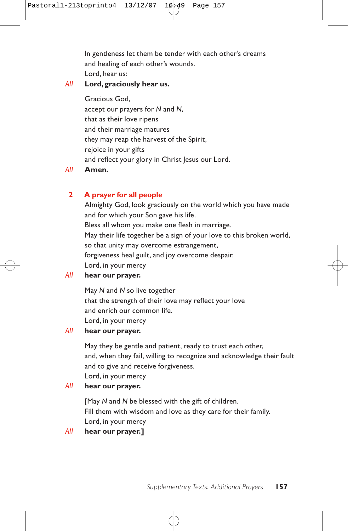In gentleness let them be tender with each other's dreams and healing of each other's wounds. Lord, hear us:

#### *All* **Lord, graciously hear us.**

Gracious God, accept our prayers for *N* and *N*, that as their love ripens and their marriage matures they may reap the harvest of the Spirit, rejoice in your gifts and reflect your glory in Christ Jesus our Lord.

#### *All* **Amen.**

#### **2 A prayer for all people**

Almighty God, look graciously on the world which you have made and for which your Son gave his life. Bless all whom you make one flesh in marriage. May their life together be a sign of your love to this broken world, so that unity may overcome estrangement, forgiveness heal guilt, and joy overcome despair. Lord, in your mercy

#### *All* **hear our prayer.**

May *N* and *N* so live together that the strength of their love may reflect your love and enrich our common life. Lord, in your mercy

#### *All* **hear our prayer.**

May they be gentle and patient, ready to trust each other, and, when they fail, willing to recognize and acknowledge their fault and to give and receive forgiveness.

Lord, in your mercy

#### *All* **hear our prayer.**

[May *N* and *N* be blessed with the gift of children. Fill them with wisdom and love as they care for their family. Lord, in your mercy

#### *All* **hear our prayer.]**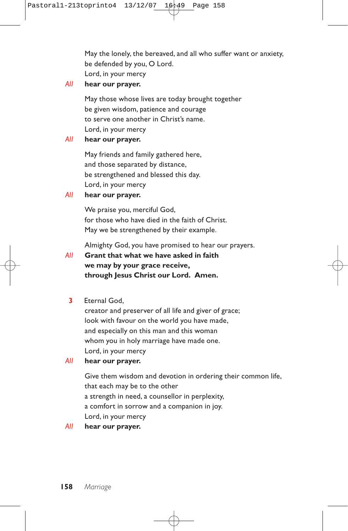May the lonely, the bereaved, and all who suffer want or anxiety, be defended by you, O Lord. Lord, in your mercy

#### *All* **hear our prayer.**

May those whose lives are today brought together be given wisdom, patience and courage to serve one another in Christ's name. Lord, in your mercy

#### *All* **hear our prayer.**

May friends and family gathered here, and those separated by distance, be strengthened and blessed this day. Lord, in your mercy

#### *All* **hear our prayer.**

We praise you, merciful God, for those who have died in the faith of Christ. May we be strengthened by their example.

Almighty God, you have promised to hear our prayers.

## *All* **Grant that what we have asked in faith we may by your grace receive, through Jesus Christ our Lord. Amen.**

#### **3** Eternal God,

creator and preserver of all life and giver of grace; look with favour on the world you have made, and especially on this man and this woman whom you in holy marriage have made one. Lord, in your mercy

#### *All* **hear our prayer.**

Give them wisdom and devotion in ordering their common life, that each may be to the other a strength in need, a counsellor in perplexity, a comfort in sorrow and a companion in joy. Lord, in your mercy

#### *All* **hear our prayer.**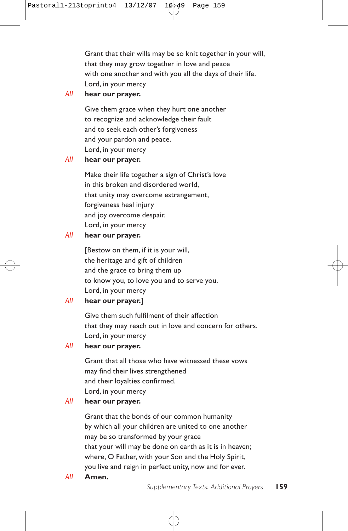Grant that their wills may be so knit together in your will, that they may grow together in love and peace with one another and with you all the days of their life. Lord, in your mercy

#### *All* **hear our prayer.**

Give them grace when they hurt one another to recognize and acknowledge their fault and to seek each other's forgiveness and your pardon and peace. Lord, in your mercy

#### *All* **hear our prayer.**

Make their life together a sign of Christ's love in this broken and disordered world, that unity may overcome estrangement, forgiveness heal injury and joy overcome despair. Lord, in your mercy

#### *All* **hear our prayer.**

[Bestow on them, if it is your will, the heritage and gift of children and the grace to bring them up to know you, to love you and to serve you. Lord, in your mercy

#### *All* **hear our prayer.**]

Give them such fulfilment of their affection that they may reach out in love and concern for others. Lord, in your mercy

#### *All* **hear our prayer.**

Grant that all those who have witnessed these vows may find their lives strengthened and their loyalties confirmed. Lord, in your mercy

#### *All* **hear our prayer.**

Grant that the bonds of our common humanity by which all your children are united to one another may be so transformed by your grace that your will may be done on earth as it is in heaven; where, O Father, with your Son and the Holy Spirit, you live and reign in perfect unity, now and for ever.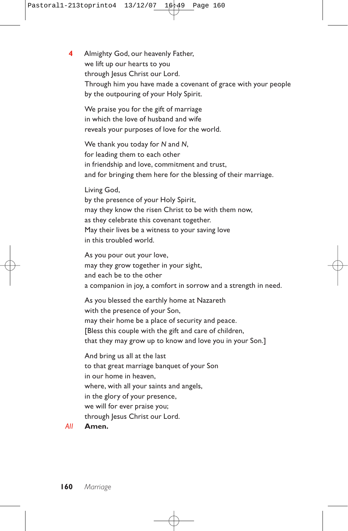**4** Almighty God, our heavenly Father, we lift up our hearts to you through Jesus Christ our Lord. Through him you have made a covenant of grace with your people by the outpouring of your Holy Spirit.

We praise you for the gift of marriage in which the love of husband and wife reveals your purposes of love for the world.

We thank you today for *N* and *N*, for leading them to each other in friendship and love, commitment and trust, and for bringing them here for the blessing of their marriage.

Living God,

by the presence of your Holy Spirit, may they know the risen Christ to be with them now, as they celebrate this covenant together. May their lives be a witness to your saving love in this troubled world.

As you pour out your love, may they grow together in your sight, and each be to the other a companion in joy, a comfort in sorrow and a strength in need.

As you blessed the earthly home at Nazareth with the presence of your Son, may their home be a place of security and peace. [Bless this couple with the gift and care of children, that they may grow up to know and love you in your Son.]

And bring us all at the last to that great marriage banquet of your Son in our home in heaven, where, with all your saints and angels, in the glory of your presence, we will for ever praise you; through Jesus Christ our Lord.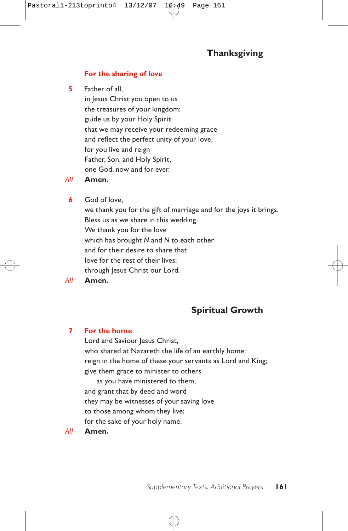#### **For the sharing of love**

**5** Father of all,

in Jesus Christ you open to us the treasures of your kingdom; guide us by your Holy Spirit that we may receive your redeeming grace and reflect the perfect unity of your love, for you live and reign Father, Son, and Holy Spirit, one God, now and for ever.

#### *All* **Amen.**

**6** God of love,

we thank you for the gift of marriage and for the joys it brings. Bless us as we share in this wedding. We thank you for the love which has brought *N* and *N* to each other and for their desire to share that love for the rest of their lives; through Jesus Christ our Lord.

*All* **Amen.**

## **Spiritual Growth**

#### **7 For the home**

Lord and Saviour Jesus Christ, who shared at Nazareth the life of an earthly home: reign in the home of these your servants as Lord and King; give them grace to minister to others

as you have ministered to them, and grant that by deed and word they may be witnesses of your saving love to those among whom they live; for the sake of your holy name.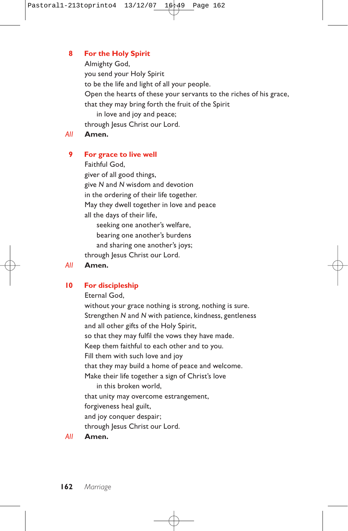#### **8 For the Holy Spirit**

Almighty God, you send your Holy Spirit to be the life and light of all your people. Open the hearts of these your servants to the riches of his grace, that they may bring forth the fruit of the Spirit in love and joy and peace; through Jesus Christ our Lord.

#### *All* **Amen.**

#### **9 For grace to live well**

Faithful God, giver of all good things, give *N* and *N* wisdom and devotion in the ordering of their life together. May they dwell together in love and peace all the days of their life,

seeking one another's welfare, bearing one another's burdens and sharing one another's joys;

through Jesus Christ our Lord.

#### *All* **Amen.**

#### **10 For discipleship**

Eternal God,

without your grace nothing is strong, nothing is sure. Strengthen *N* and *N* with patience, kindness, gentleness and all other gifts of the Holy Spirit, so that they may fulfil the vows they have made. Keep them faithful to each other and to you. Fill them with such love and joy that they may build a home of peace and welcome. Make their life together a sign of Christ's love in this broken world, that unity may overcome estrangement,

forgiveness heal guilt,

and joy conquer despair;

through Jesus Christ our Lord.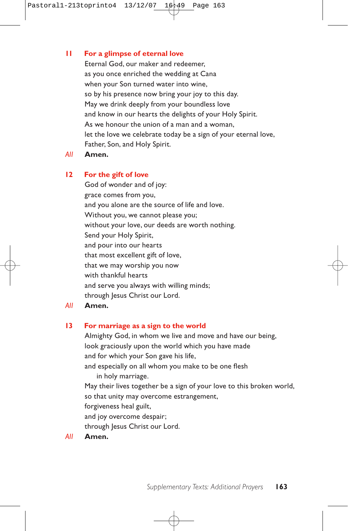#### **11 For a glimpse of eternal love**

Eternal God, our maker and redeemer, as you once enriched the wedding at Cana when your Son turned water into wine, so by his presence now bring your joy to this day. May we drink deeply from your boundless love and know in our hearts the delights of your Holy Spirit. As we honour the union of a man and a woman, let the love we celebrate today be a sign of your eternal love, Father, Son, and Holy Spirit.

*All* **Amen.**

#### **12 For the gift of love**

God of wonder and of joy: grace comes from you, and you alone are the source of life and love. Without you, we cannot please you; without your love, our deeds are worth nothing. Send your Holy Spirit, and pour into our hearts that most excellent gift of love, that we may worship you now with thankful hearts and serve you always with willing minds; through Jesus Christ our Lord.

*All* **Amen.**

#### **13 For marriage as a sign to the world**

Almighty God, in whom we live and move and have our being, look graciously upon the world which you have made and for which your Son gave his life, and especially on all whom you make to be one flesh in holy marriage. May their lives together be a sign of your love to this broken world, so that unity may overcome estrangement, forgiveness heal guilt, and joy overcome despair; through Jesus Christ our Lord.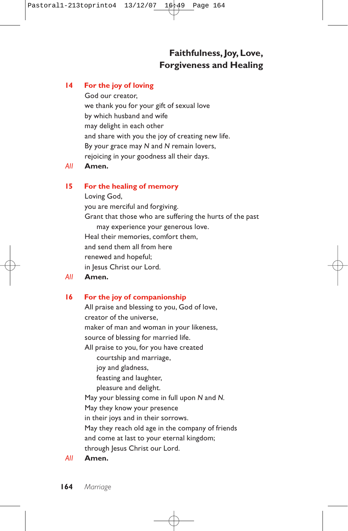## **Faithfulness, Joy, Love, Forgiveness and Healing**

#### **14 For the joy of loving**

God our creator, we thank you for your gift of sexual love by which husband and wife may delight in each other and share with you the joy of creating new life. By your grace may *N* and *N* remain lovers, rejoicing in your goodness all their days.

#### *All* **Amen.**

#### **15 For the healing of memory**

Loving God, you are merciful and forgiving. Grant that those who are suffering the hurts of the past may experience your generous love. Heal their memories, comfort them and send them all from here renewed and hopeful; in Jesus Christ our Lord.

#### *All* **Amen.**

#### **16 For the joy of companionship**

All praise and blessing to you, God of love, creator of the universe, maker of man and woman in your likeness, source of blessing for married life. All praise to you, for you have created courtship and marriage, joy and gladness, feasting and laughter, pleasure and delight. May your blessing come in full upon *N* and *N.* May they know your presence in their joys and in their sorrows. May they reach old age in the company of friends and come at last to your eternal kingdom;

through Jesus Christ our Lord.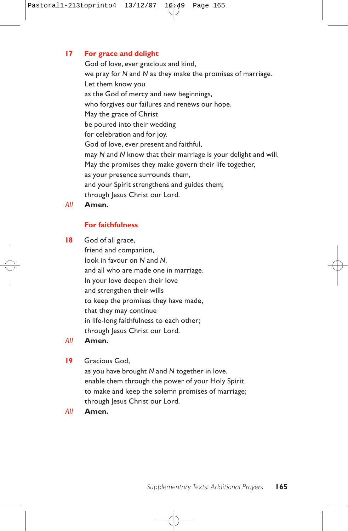#### **17 For grace and delight**

God of love, ever gracious and kind, we pray for *N* and *N* as they make the promises of marriage. Let them know you as the God of mercy and new beginnings, who forgives our failures and renews our hope. May the grace of Christ be poured into their wedding for celebration and for joy. God of love, ever present and faithful, may *N* and *N* know that their marriage is your delight and will. May the promises they make govern their life together, as your presence surrounds them, and your Spirit strengthens and guides them; through Jesus Christ our Lord.

*All* **Amen.**

#### **For faithfulness**

**18** God of all grace, friend and companion, look in favour on *N* and *N*, and all who are made one in marriage. In your love deepen their love and strengthen their wills to keep the promises they have made, that they may continue in life-long faithfulness to each other; through Jesus Christ our Lord.

#### *All* **Amen.**

**19** Gracious God,

as you have brought *N* and *N* together in love, enable them through the power of your Holy Spirit to make and keep the solemn promises of marriage; through Jesus Christ our Lord.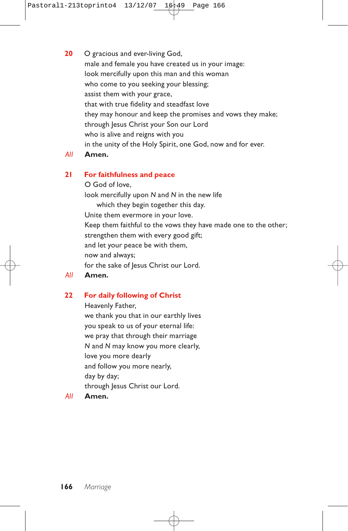20 O gracious and ever-living God, male and female you have created us in your image: look mercifully upon this man and this woman who come to you seeking your blessing; assist them with your grace, that with true fidelity and steadfast love they may honour and keep the promises and vows they make; through Jesus Christ your Son our Lord who is alive and reigns with you in the unity of the Holy Spirit, one God, now and for ever.

*All* **Amen.**

#### **21 For faithfulness and peace**

O God of love,

look mercifully upon *N* and *N* in the new life which they begin together this day. Unite them evermore in your love. Keep them faithful to the vows they have made one to the other; strengthen them with every good gift; and let your peace be with them, now and always; for the sake of Jesus Christ our Lord.

*All* **Amen.**

#### **22 For daily following of Christ**

Heavenly Father, we thank you that in our earthly lives you speak to us of your eternal life: we pray that through their marriage *N* and *N* may know you more clearly, love you more dearly and follow you more nearly, day by day; through Jesus Christ our Lord.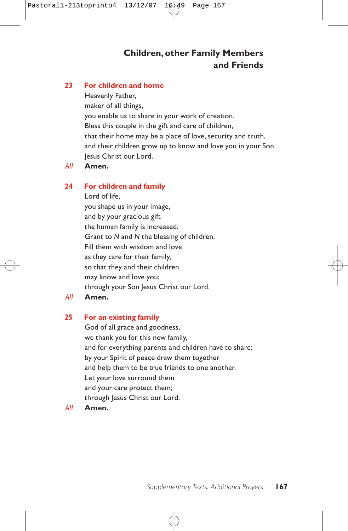## **Children, other Family Members and Friends**

#### **23 For children and home**

Heavenly Father, maker of all things, you enable us to share in your work of creation. Bless this couple in the gift and care of children, that their home may be a place of love, security and truth, and their children grow up to know and love you in your Son Jesus Christ our Lord.

#### *All* **Amen.**

#### **24 For children and family**

Lord of life,

you shape us in your image, and by your gracious gift the human family is increased. Grant to *N* and *N* the blessing of children. Fill them with wisdom and love as they care for their family, so that they and their children may know and love you; through your Son Jesus Christ our Lord.

*All* **Amen.**

#### **25 For an existing family**

God of all grace and goodness, we thank you for this new family, and for everything parents and children have to share; by your Spirit of peace draw them together and help them to be true friends to one another. Let your love surround them and your care protect them; through Jesus Christ our Lord.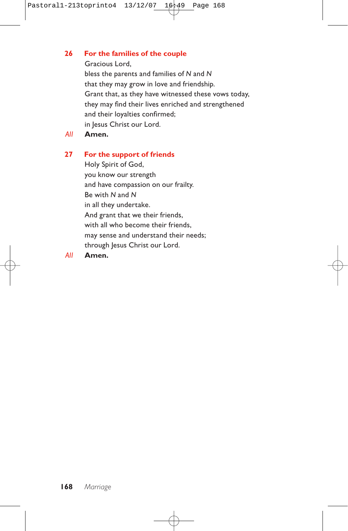#### **26 For the families of the couple**

#### Gracious Lord,

bless the parents and families of *N* and *N* that they may grow in love and friendship. Grant that, as they have witnessed these vows today, they may find their lives enriched and strengthened and their loyalties confirmed; in Jesus Christ our Lord.

*All* **Amen.**

#### **27 For the support of friends**

Holy Spirit of God, you know our strength and have compassion on our frailty. Be with *N* and *N* in all they undertake. And grant that we their friends, with all who become their friends, may sense and understand their needs; through Jesus Christ our Lord.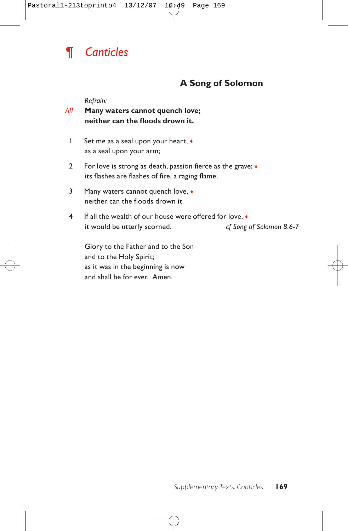

## **A Song of Solomon**

*Refrain:*

*All* **Many waters cannot quench love; neither can the floods drown it.**

- 1 Set me as a seal upon your heart, ♦ as a seal upon your arm;
- 2 For love is strong as death, passion fierce as the grave; ♦ its flashes are flashes of fire, a raging flame.
- 3 Many waters cannot quench love, ♦ neither can the floods drown it.
- 4 If all the wealth of our house were offered for love, ♦ it would be utterly scorned. *cf Song of Solomon 8.6-7*

Glory to the Father and to the Son and to the Holy Spirit; as it was in the beginning is now and shall be for ever. Amen.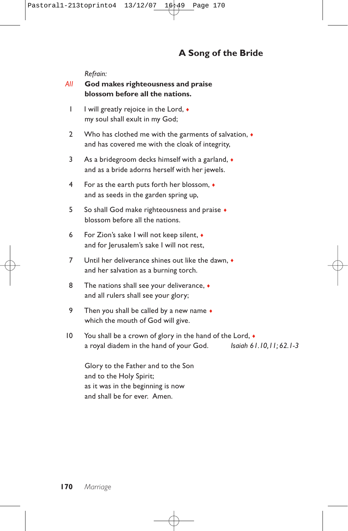#### *Refrain:*

#### *All* **God makes righteousness and praise blossom before all the nations.**

- 1 I will greatly rejoice in the Lord, ♦ my soul shall exult in my God;
- 2 Who has clothed me with the garments of salvation,  $\bullet$ and has covered me with the cloak of integrity,
- 3 As a bridegroom decks himself with a garland, ♦ and as a bride adorns herself with her jewels.
- 4 For as the earth puts forth her blossom, ♦ and as seeds in the garden spring up,
- 5 So shall God make righteousness and praise ♦ blossom before all the nations.
- 6 For Zion's sake I will not keep silent, ♦ and for Jerusalem's sake I will not rest,
- 7 Until her deliverance shines out like the dawn, ♦ and her salvation as a burning torch.
- 8 The nations shall see your deliverance,  $\bullet$ and all rulers shall see your glory;
- 9 Then you shall be called by a new name  $\bullet$ which the mouth of God will give.
- 10 You shall be a crown of glory in the hand of the Lord,  $\bullet$ a royal diadem in the hand of your God. *Isaiah 61.10,11; 62.1-3*

Glory to the Father and to the Son and to the Holy Spirit; as it was in the beginning is now and shall be for ever. Amen.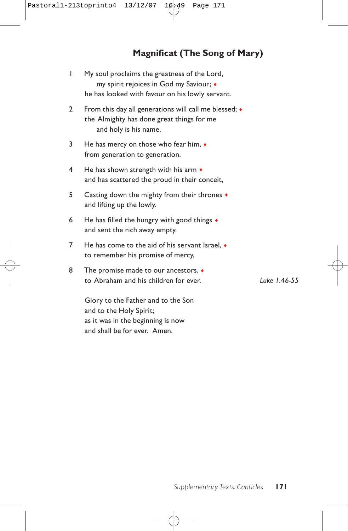## **Magnificat (The Song of Mary)**

1 My soul proclaims the greatness of the Lord, my spirit rejoices in God my Saviour; ♦ he has looked with favour on his lowly servant. 2 From this day all generations will call me blessed; ♦ the Almighty has done great things for me and holy is his name. 3 He has mercy on those who fear him, ♦ from generation to generation. 4 He has shown strength with his arm  $\triangle$ and has scattered the proud in their conceit, 5 Casting down the mighty from their thrones ♦ and lifting up the lowly. 6 He has filled the hungry with good things ♦ and sent the rich away empty. 7 He has come to the aid of his servant Israel,  $\bullet$ to remember his promise of mercy, 8 The promise made to our ancestors,  $\bullet$ to Abraham and his children for ever. *Luke 1.46-55*

Glory to the Father and to the Son and to the Holy Spirit; as it was in the beginning is now and shall be for ever. Amen.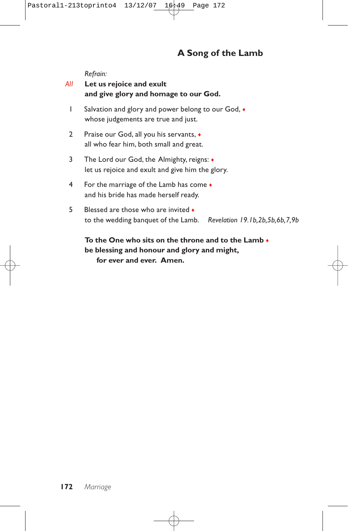*Refrain:*

- *All* **Let us rejoice and exult and give glory and homage to our God.**
	- 1 Salvation and glory and power belong to our God, ♦ whose judgements are true and just.
	- 2 Praise our God, all you his servants, ♦ all who fear him, both small and great.
	- 3 The Lord our God, the Almighty, reigns: ♦ let us rejoice and exult and give him the glory.
	- 4 For the marriage of the Lamb has come ♦ and his bride has made herself ready.
	- 5 Blessed are those who are invited ♦ to the wedding banquet of the Lamb. *Revelation 19.1b,2b,5b,6b,7,9b*

#### **To the One who sits on the throne and to the Lamb** ♦ **be blessing and honour and glory and might, for ever and ever. Amen.**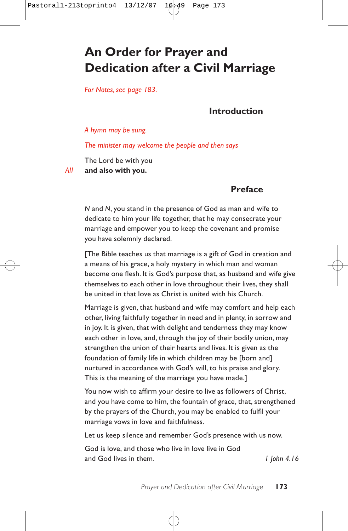# **An Order for Prayer and Dedication after a Civil Marriage**

*For Notes, see page 183.*

# **Introduction**

#### *A hymn may be sung.*

#### *The minister may welcome the people and then says*

The Lord be with you *All* **and also with you.**

# **Preface**

*N* and *N*, you stand in the presence of God as man and wife to dedicate to him your life together, that he may consecrate your marriage and empower you to keep the covenant and promise you have solemnly declared.

[The Bible teaches us that marriage is a gift of God in creation and a means of his grace, a holy mystery in which man and woman become one flesh. It is God's purpose that, as husband and wife give themselves to each other in love throughout their lives, they shall be united in that love as Christ is united with his Church.

Marriage is given, that husband and wife may comfort and help each other, living faithfully together in need and in plenty, in sorrow and in joy. It is given, that with delight and tenderness they may know each other in love, and, through the joy of their bodily union, may strengthen the union of their hearts and lives. It is given as the foundation of family life in which children may be [born and] nurtured in accordance with God's will, to his praise and glory. This is the meaning of the marriage you have made.]

You now wish to affirm your desire to live as followers of Christ, and you have come to him, the fountain of grace, that, strengthened by the prayers of the Church, you may be enabled to fulfil your marriage vows in love and faithfulness.

Let us keep silence and remember God's presence with us now.

God is love, and those who live in love live in God and God lives in them*. 1 John 4.16*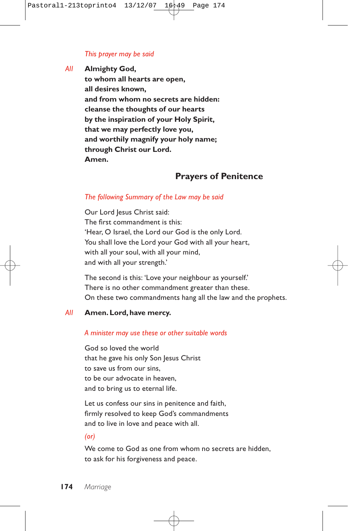#### *This prayer may be said*

*All* **Almighty God,**

**to whom all hearts are open, all desires known, and from whom no secrets are hidden: cleanse the thoughts of our hearts by the inspiration of your Holy Spirit, that we may perfectly love you, and worthily magnify your holy name; through Christ our Lord. Amen.**

# **Prayers of Penitence**

#### *The following Summary of the Law may be said*

Our Lord Jesus Christ said: The first commandment is this: 'Hear, O Israel, the Lord our God is the only Lord. You shall love the Lord your God with all your heart, with all your soul, with all your mind, and with all your strength.'

The second is this: 'Love your neighbour as yourself.' There is no other commandment greater than these. On these two commandments hang all the law and the prophets.

### *All* **Amen. Lord, have mercy.**

#### *A minister may use these or other suitable words*

God so loved the world that he gave his only Son Jesus Christ to save us from our sins, to be our advocate in heaven, and to bring us to eternal life.

Let us confess our sins in penitence and faith, firmly resolved to keep God's commandments and to live in love and peace with all.

#### *(or)*

We come to God as one from whom no secrets are hidden, to ask for his forgiveness and peace.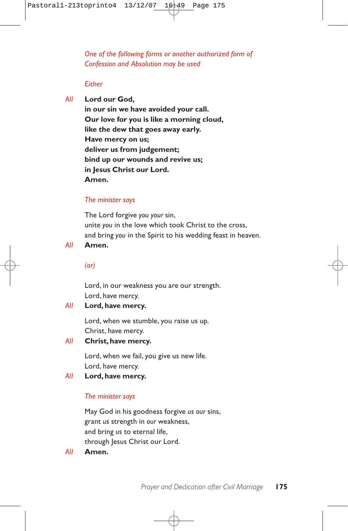*One of the following forms or another authorized form of Confession and Absolution may be used*

# *Either*

*All* **Lord our God,**

**in our sin we have avoided your call. Our love for you is like a morning cloud, like the dew that goes away early. Have mercy on us; deliver us from judgement; bind up our wounds and revive us; in Jesus Christ our Lord. Amen.**

### *The minister says*

The Lord forgive *you your* sin, unite *you* in the love which took Christ to the cross, and bring *you* in the Spirit to his wedding feast in heaven.

*All* **Amen.**

#### *(or)*

Lord, in our weakness you are our strength. Lord, have mercy.

# *All* **Lord, have mercy.**

Lord, when we stumble, you raise us up. Christ, have mercy.

# *All* **Christ, have mercy.**

Lord, when we fail, you give us new life. Lord, have mercy.

### *All* **Lord, have mercy.**

### *The minister says*

May God in his goodness forgive *us our* sins, grant *us* strength in *our* weakness, and bring *us* to eternal life, through Jesus Christ our Lord.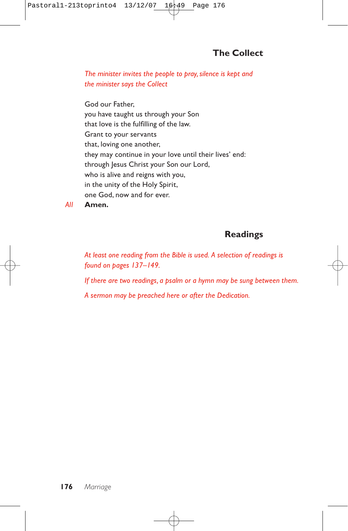# **The Collect**

*The minister invites the people to pray, silence is kept and the minister says the Collect*

God our Father, you have taught us through your Son that love is the fulfilling of the law. Grant to your servants that, loving one another, they may continue in your love until their lives' end: through Jesus Christ your Son our Lord, who is alive and reigns with you, in the unity of the Holy Spirit, one God, now and for ever.

*All* **Amen.**

# **Readings**

*At least one reading from the Bible is used. A selection of readings is found on pages 137–149.*

*If there are two readings, a psalm or a hymn may be sung between them.*

*A sermon may be preached here or after the Dedication.*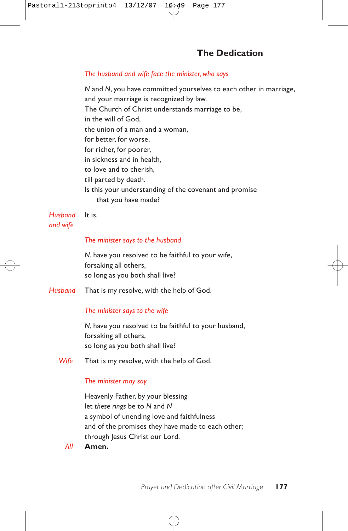## *The husband and wife face the minister, who says*

*N* and *N*, you have committed yourselves to each other in marriage, and your marriage is recognized by law. The Church of Christ understands marriage to be, in the will of God, the union of a man and a woman, for better, for worse, for richer, for poorer, in sickness and in health, to love and to cherish, till parted by death. Is this your understanding of the covenant and promise that you have made?

Husband It is.

*and wife*

## *The minister says to the husband*

*N*, have you resolved to be faithful to your wife, forsaking all others, so long as you both shall live?

*Husband* That is my resolve, with the help of God.

### *The minister says to the wife*

*N*, have you resolved to be faithful to your husband, forsaking all others, so long as you both shall live?

*Wife* That is my resolve, with the help of God.

### *The minister may say*

Heavenly Father, by your blessing let *these rings* be to *N* and *N* a symbol of unending love and faithfulness and of the promises they have made to each other; through Jesus Christ our Lord.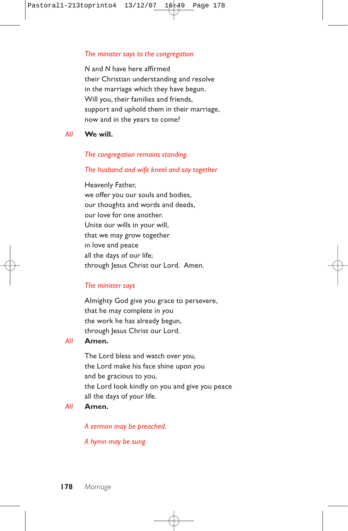#### *The minister says to the congregation*

*N* and *N* have here affirmed their Christian understanding and resolve in the marriage which they have begun. Will you, their families and friends, support and uphold them in their marriage, now and in the years to come?

#### *All* **We will.**

#### *The congregation remains standing.*

#### *The husband and wife kneel and say together*

Heavenly Father, we offer you our souls and bodies, our thoughts and words and deeds, our love for one another. Unite our wills in your will, that we may grow together in love and peace all the days of our life; through Jesus Christ our Lord. Amen.

#### *The minister says*

Almighty God give you grace to persevere, that he may complete in you the work he has already begun, through Jesus Christ our Lord.

#### *All* **Amen.**

The Lord bless and watch over you, the Lord make his face shine upon you and be gracious to you, the Lord look kindly on you and give you peace all the days of your life.

## *All* **Amen.**

*A sermon may be preached.*

*A hymn may be sung.*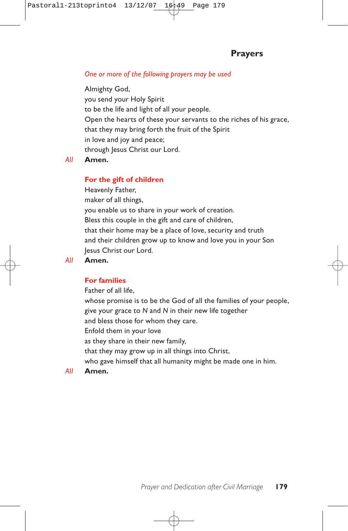# *One or more of the following prayers may be used*

Almighty God, you send your Holy Spirit to be the life and light of all your people. Open the hearts of these your servants to the riches of his grace, that they may bring forth the fruit of the Spirit in love and joy and peace; through Jesus Christ our Lord.

*All* **Amen.**

# **For the gift of children**

Heavenly Father, maker of all things, you enable us to share in your work of creation. Bless this couple in the gift and care of children, that their home may be a place of love, security and truth and their children grow up to know and love you in your Son Jesus Christ our Lord.

# *All* **Amen.**

# **For families**

Father of all life,

whose promise is to be the God of all the families of your people, give your grace to *N* and *N* in their new life together and bless those for whom they care. Enfold them in your love as they share in their new family, that they may grow up in all things into Christ, who gave himself that all humanity might be made one in him.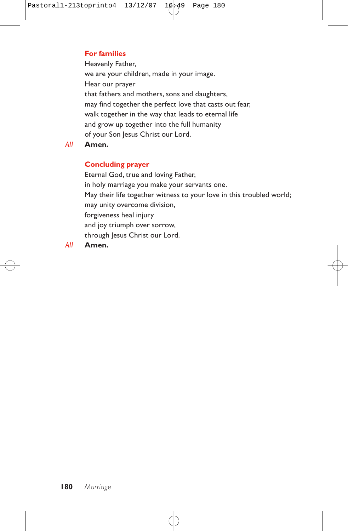# **For families**

Heavenly Father, we are your children, made in your image. Hear our prayer that fathers and mothers, sons and daughters, may find together the perfect love that casts out fear, walk together in the way that leads to eternal life and grow up together into the full humanity of your Son Jesus Christ our Lord.

*All* **Amen.**

# **Concluding prayer**

Eternal God, true and loving Father, in holy marriage you make your servants one. May their life together witness to your love in this troubled world; may unity overcome division, forgiveness heal injury and joy triumph over sorrow, through Jesus Christ our Lord.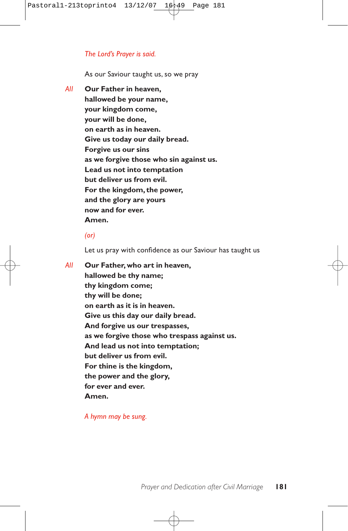#### *The Lord's Prayer is said.*

As our Saviour taught us, so we pray

*All* **Our Father in heaven, hallowed be your name, your kingdom come, your will be done, on earth as in heaven. Give us today our daily bread. Forgive us our sins as we forgive those who sin against us. Lead us not into temptation but deliver us from evil. For the kingdom, the power, and the glory are yours now and for ever. Amen.**

#### *(or)*

Let us pray with confidence as our Saviour has taught us

*All* **Our Father, who art in heaven, hallowed be thy name; thy kingdom come; thy will be done; on earth as it is in heaven. Give us this day our daily bread. And forgive us our trespasses, as we forgive those who trespass against us. And lead us not into temptation; but deliver us from evil. For thine is the kingdom, the power and the glory, for ever and ever. Amen.**

*A hymn may be sung.*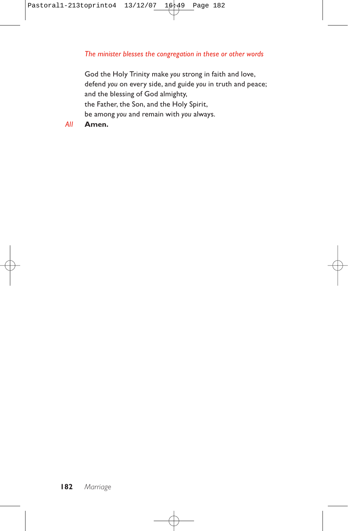# *The minister blesses the congregation in these or other words*

God the Holy Trinity make *you* strong in faith and love, defend *you* on every side, and guide *you* in truth and peace; and the blessing of God almighty, the Father, the Son, and the Holy Spirit, be among *you* and remain with *you* always.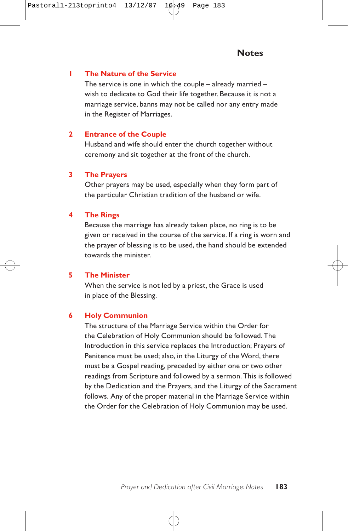## **1 The Nature of the Service**

The service is one in which the couple – already married – wish to dedicate to God their life together. Because it is not a marriage service, banns may not be called nor any entry made in the Register of Marriages.

# **2 Entrance of the Couple**

Husband and wife should enter the church together without ceremony and sit together at the front of the church.

## **3 The Prayers**

Other prayers may be used, especially when they form part of the particular Christian tradition of the husband or wife.

# **4 The Rings**

Because the marriage has already taken place, no ring is to be given or received in the course of the service. If a ring is worn and the prayer of blessing is to be used, the hand should be extended towards the minister.

## **5 The Minister**

When the service is not led by a priest, the Grace is used in place of the Blessing.

### **6 Holy Communion**

The structure of the Marriage Service within the Order for the Celebration of Holy Communion should be followed. The Introduction in this service replaces the Introduction; Prayers of Penitence must be used; also, in the Liturgy of the Word, there must be a Gospel reading, preceded by either one or two other readings from Scripture and followed by a sermon. This is followed by the Dedication and the Prayers, and the Liturgy of the Sacrament follows. Any of the proper material in the Marriage Service within the Order for the Celebration of Holy Communion may be used.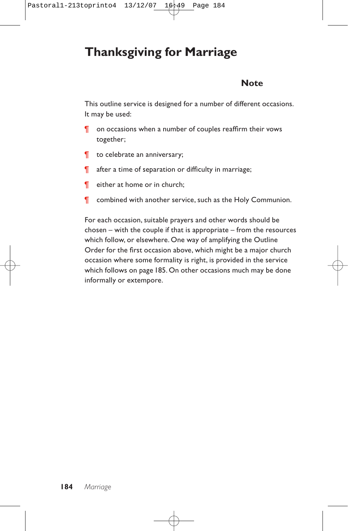# **Thanksgiving for Marriage**

# **Note**

This outline service is designed for a number of different occasions. It may be used:

- ¶ on occasions when a number of couples reaffirm their vows together;
- ¶ to celebrate an anniversary;
- ¶ after a time of separation or difficulty in marriage;
- ¶ either at home or in church;
- ¶ combined with another service, such as the Holy Communion.

For each occasion, suitable prayers and other words should be chosen – with the couple if that is appropriate – from the resources which follow, or elsewhere. One way of amplifying the Outline Order for the first occasion above, which might be a major church occasion where some formality is right, is provided in the service which follows on page 185. On other occasions much may be done informally or extempore.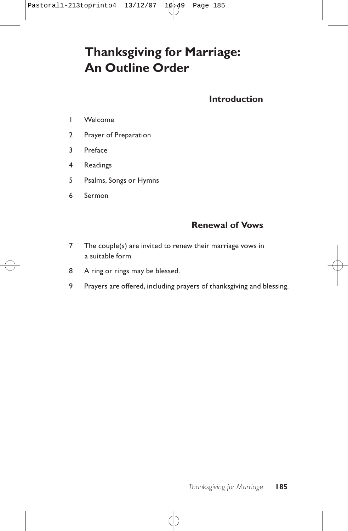# **Thanksgiving for Marriage: An Outline Order**

# **Introduction**

- 1 Welcome
- 2 Prayer of Preparation
- 3 Preface
- 4 Readings
- 5 Psalms, Songs or Hymns
- 6 Sermon

# **Renewal of Vows**

- 7 The couple(s) are invited to renew their marriage vows in a suitable form.
- 8 A ring or rings may be blessed.
- 9 Prayers are offered, including prayers of thanksgiving and blessing.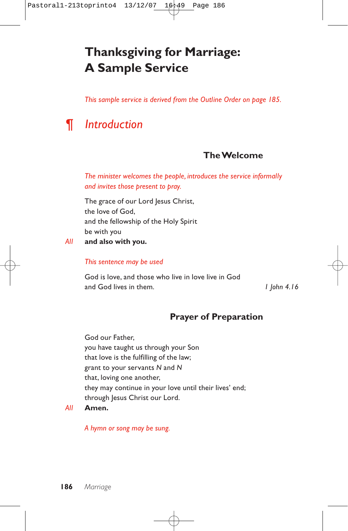# **Thanksgiving for Marriage: A Sample Service**

*This sample service is derived from the Outline Order on page 185.*

*¶ Introduction*

# **The Welcome**

*The minister welcomes the people, introduces the service informally and invites those present to pray.*

The grace of our Lord Jesus Christ, the love of God, and the fellowship of the Holy Spirit be with you

### *All* **and also with you.**

#### *This sentence may be used*

God is love, and those who live in love live in God and God lives in them. **1** *John 4.16* 

# **Prayer of Preparation**

God our Father, you have taught us through your Son that love is the fulfilling of the law; grant to your servants *N* and *N* that, loving one another, they may continue in your love until their lives' end; through Jesus Christ our Lord.

*All* **Amen.**

*A hymn or song may be sung.*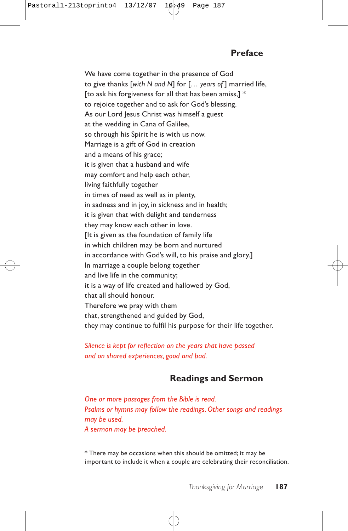# **Preface**

We have come together in the presence of God to give thanks [*with N and N*] for [*… years of* ] married life, Ito ask his forgiveness for all that has been amiss, $1^*$ to rejoice together and to ask for God's blessing. As our Lord Jesus Christ was himself a guest at the wedding in Cana of Galilee, so through his Spirit he is with us now. Marriage is a gift of God in creation and a means of his grace; it is given that a husband and wife may comfort and help each other, living faithfully together in times of need as well as in plenty, in sadness and in joy, in sickness and in health; it is given that with delight and tenderness they may know each other in love. [It is given as the foundation of family life in which children may be born and nurtured in accordance with God's will, to his praise and glory.] In marriage a couple belong together and live life in the community; it is a way of life created and hallowed by God, that all should honour. Therefore we pray with them that, strengthened and guided by God, they may continue to fulfil his purpose for their life together.

*Silence is kept for reflection on the years that have passed and on shared experiences, good and bad.*

# **Readings and Sermon**

*One or more passages from the Bible is read. Psalms or hymns may follow the readings. Other songs and readings may be used. A sermon may be preached.*

\* There may be occasions when this should be omitted; it may be important to include it when a couple are celebrating their reconciliation.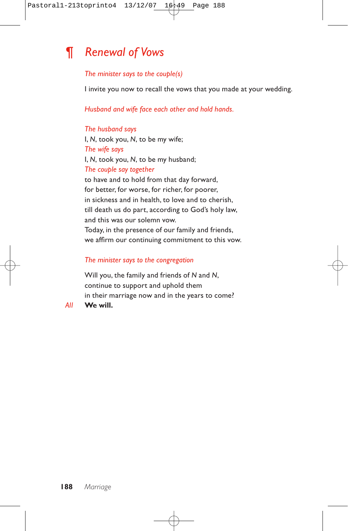# *¶ Renewal of Vows*

### *The minister says to the couple(s)*

I invite you now to recall the vows that you made at your wedding.

*Husband and wife face each other and hold hands.*

## *The husband says*

I, *N*, took you, *N*, to be my wife; *The wife says* I, *N*, took you, *N*, to be my husband; *The couple say together* to have and to hold from that day forward, for better, for worse, for richer, for poorer, in sickness and in health, to love and to cherish, till death us do part, according to God's holy law, and this was our solemn vow. Today, in the presence of our family and friends, we affirm our continuing commitment to this vow.

## *The minister says to the congregation*

Will you, the family and friends of *N* and *N*, continue to support and uphold them in their marriage now and in the years to come?

*All* **We will.**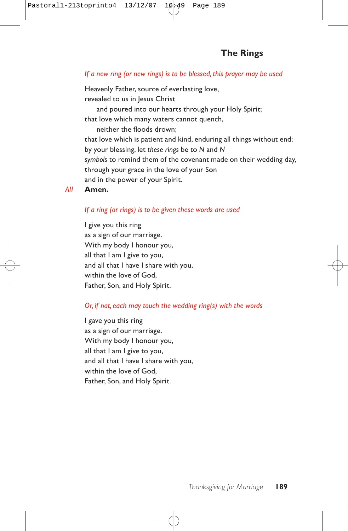# **The Rings**

#### *If a new ring (or new rings) is to be blessed, this prayer may be used*

Heavenly Father, source of everlasting love, revealed to us in Jesus Christ and poured into our hearts through your Holy Spirit; that love which many waters cannot quench, neither the floods drown; that love which is patient and kind, enduring all things without end; by your blessing, let *these rings* be to *N* and *N symbols* to remind them of the covenant made on their wedding day, through your grace in the love of your Son and in the power of your Spirit.

## *All* **Amen.**

#### *If a ring (or rings) is to be given these words are used*

I give you this ring as a sign of our marriage. With my body I honour you, all that I am I give to you, and all that I have I share with you, within the love of God, Father, Son, and Holy Spirit.

#### *Or, if not, each may touch the wedding ring(s) with the words*

I gave you this ring as a sign of our marriage. With my body I honour you, all that I am I give to you, and all that I have I share with you, within the love of God, Father, Son, and Holy Spirit.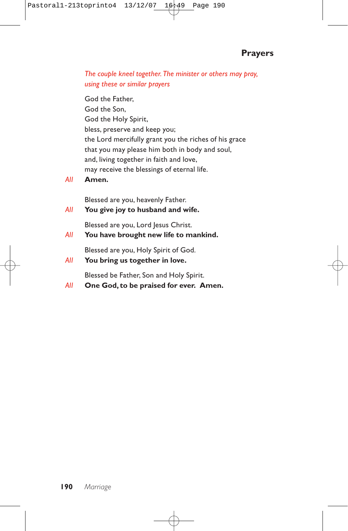*The couple kneel together. The minister or others may pray, using these or similar prayers* 

God the Father, God the Son, God the Holy Spirit, bless, preserve and keep you; the Lord mercifully grant you the riches of his grace that you may please him both in body and soul, and, living together in faith and love, may receive the blessings of eternal life.

#### *All* **Amen.**

Blessed are you, heavenly Father.

*All* **You give joy to husband and wife.**

Blessed are you, Lord Jesus Christ.

*All* **You have brought new life to mankind.**

Blessed are you, Holy Spirit of God.

# *All* **You bring us together in love.**

Blessed be Father, Son and Holy Spirit.

*All* **One God, to be praised for ever. Amen.**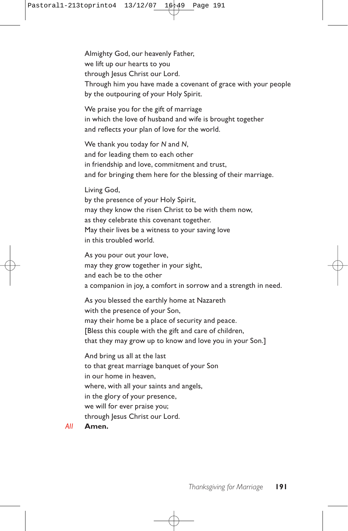Almighty God, our heavenly Father, we lift up our hearts to you through Jesus Christ our Lord. Through him you have made a covenant of grace with your people by the outpouring of your Holy Spirit.

We praise you for the gift of marriage in which the love of husband and wife is brought together and reflects your plan of love for the world.

We thank you today for *N* and *N*, and for leading them to each other in friendship and love, commitment and trust, and for bringing them here for the blessing of their marriage.

Living God,

by the presence of your Holy Spirit, may they know the risen Christ to be with them now, as they celebrate this covenant together. May their lives be a witness to your saving love in this troubled world.

As you pour out your love, may they grow together in your sight, and each be to the other a companion in joy, a comfort in sorrow and a strength in need.

As you blessed the earthly home at Nazareth with the presence of your Son, may their home be a place of security and peace. [Bless this couple with the gift and care of children, that they may grow up to know and love you in your Son.]

And bring us all at the last to that great marriage banquet of your Son in our home in heaven, where, with all your saints and angels, in the glory of your presence, we will for ever praise you; through Jesus Christ our Lord.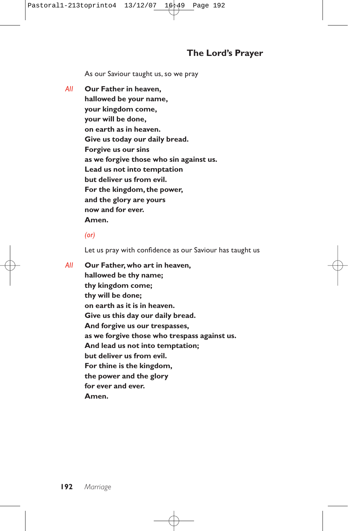As our Saviour taught us, so we pray

*All* **Our Father in heaven, hallowed be your name, your kingdom come, your will be done, on earth as in heaven. Give us today our daily bread. Forgive us our sins as we forgive those who sin against us. Lead us not into temptation but deliver us from evil. For the kingdom, the power, and the glory are yours now and for ever. Amen.**

## *(or)*

Let us pray with confidence as our Saviour has taught us

*All* **Our Father, who art in heaven, hallowed be thy name; thy kingdom come; thy will be done; on earth as it is in heaven. Give us this day our daily bread. And forgive us our trespasses, as we forgive those who trespass against us. And lead us not into temptation; but deliver us from evil. For thine is the kingdom, the power and the glory for ever and ever. Amen.**